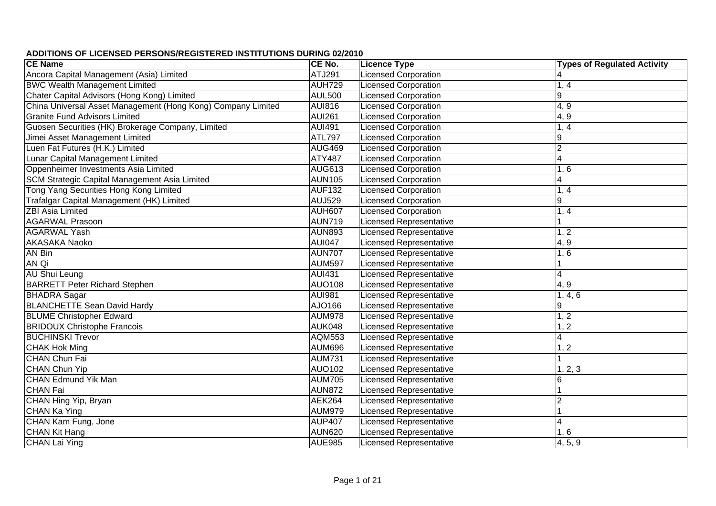| <b>CE Name</b>                                               | CE No.        | <b>Licence Type</b>            | <b>Types of Regulated Activity</b> |
|--------------------------------------------------------------|---------------|--------------------------------|------------------------------------|
| Ancora Capital Management (Asia) Limited                     | <b>ATJ291</b> | <b>Licensed Corporation</b>    | $\overline{4}$                     |
| <b>BWC Wealth Management Limited</b>                         | AUH729        | <b>Licensed Corporation</b>    | 1, 4                               |
| Chater Capital Advisors (Hong Kong) Limited                  | <b>AUL500</b> | <b>Licensed Corporation</b>    | 9                                  |
| China Universal Asset Management (Hong Kong) Company Limited | <b>AUI816</b> | <b>Licensed Corporation</b>    | 4, 9                               |
| <b>Granite Fund Advisors Limited</b>                         | <b>AUI261</b> | <b>Licensed Corporation</b>    | 4, 9                               |
| Guosen Securities (HK) Brokerage Company, Limited            | <b>AUI491</b> | <b>Licensed Corporation</b>    | 1, 4                               |
| Jimei Asset Management Limited                               | ATL797        | <b>Licensed Corporation</b>    | $\overline{9}$                     |
| Luen Fat Futures (H.K.) Limited                              | <b>AUG469</b> | Licensed Corporation           | $\overline{2}$                     |
| Lunar Capital Management Limited                             | ATY487        | <b>Licensed Corporation</b>    | $\overline{4}$                     |
| Oppenheimer Investments Asia Limited                         | <b>AUG613</b> | <b>Licensed Corporation</b>    | 1, 6                               |
| SCM Strategic Capital Management Asia Limited                | <b>AUN105</b> | <b>Licensed Corporation</b>    | $\overline{4}$                     |
| Tong Yang Securities Hong Kong Limited                       | <b>AUF132</b> | <b>Licensed Corporation</b>    | 1, 4                               |
| Trafalgar Capital Management (HK) Limited                    | <b>AUJ529</b> | <b>Licensed Corporation</b>    | $\overline{9}$                     |
| <b>ZBI Asia Limited</b>                                      | <b>AUH607</b> | <b>Licensed Corporation</b>    | 1, 4                               |
| <b>AGARWAL Prasoon</b>                                       | <b>AUN719</b> | <b>Licensed Representative</b> |                                    |
| <b>AGARWAL Yash</b>                                          | <b>AUN893</b> | <b>Licensed Representative</b> | 1, 2                               |
| AKASAKA Naoko                                                | <b>AUI047</b> | <b>Licensed Representative</b> | 4, 9                               |
| AN Bin                                                       | <b>AUN707</b> | <b>Licensed Representative</b> | 1, 6                               |
| AN Qi                                                        | <b>AUM597</b> | <b>Licensed Representative</b> |                                    |
| <b>AU Shui Leung</b>                                         | <b>AUI431</b> | Licensed Representative        | $\overline{4}$                     |
| <b>BARRETT Peter Richard Stephen</b>                         | <b>AUO108</b> | <b>Licensed Representative</b> | 4, 9                               |
| <b>BHADRA Sagar</b>                                          | <b>AUI981</b> | <b>Licensed Representative</b> | 1, 4, 6                            |
| <b>BLANCHETTE Sean David Hardy</b>                           | AJO166        | <b>Licensed Representative</b> | 9                                  |
| <b>BLUME Christopher Edward</b>                              | <b>AUM978</b> | <b>Licensed Representative</b> | 1, 2                               |
| <b>BRIDOUX Christophe Francois</b>                           | AUK048        | <b>Licensed Representative</b> | 1, 2                               |
| <b>BUCHINSKI Trevor</b>                                      | <b>AQM553</b> | <b>Licensed Representative</b> | $\overline{\mathbf{4}}$            |
| <b>CHAK Hok Ming</b>                                         | <b>AUM696</b> | <b>Licensed Representative</b> | 1, 2                               |
| <b>CHAN Chun Fai</b>                                         | <b>AUM731</b> | <b>Licensed Representative</b> |                                    |
| <b>CHAN Chun Yip</b>                                         | <b>AUO102</b> | <b>Licensed Representative</b> | 1, 2, 3                            |
| <b>CHAN Edmund Yik Man</b>                                   | <b>AUM705</b> | <b>Licensed Representative</b> | 6                                  |
| <b>CHAN Fai</b>                                              | <b>AUN872</b> | <b>Licensed Representative</b> |                                    |
| CHAN Hing Yip, Bryan                                         | <b>AEK264</b> | <b>Licensed Representative</b> | $\overline{c}$                     |
| CHAN Ka Ying                                                 | <b>AUM979</b> | <b>Licensed Representative</b> |                                    |
| CHAN Kam Fung, Jone                                          | <b>AUP407</b> | <b>Licensed Representative</b> | $\overline{4}$                     |
| <b>CHAN Kit Hang</b>                                         | AUN620        | <b>Licensed Representative</b> | 1, 6                               |
| <b>CHAN Lai Ying</b>                                         | AUE985        | <b>Licensed Representative</b> | 4, 5, 9                            |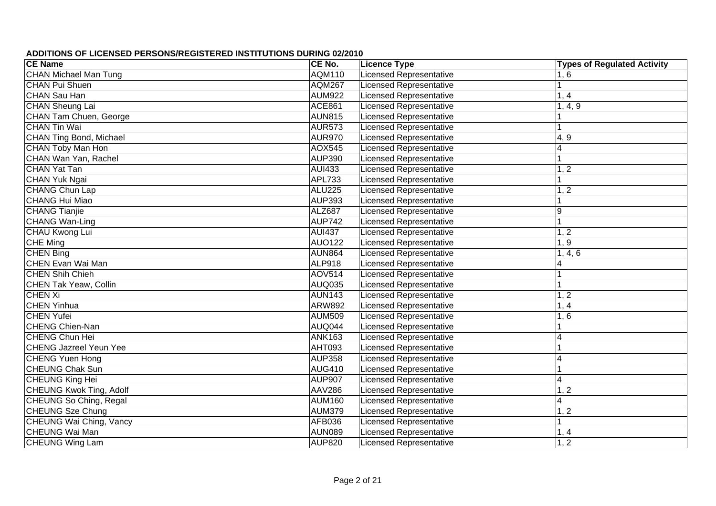| <b>CE Name</b>                 | CE No.        | <b>Licence Type</b>            | <b>Types of Regulated Activity</b> |
|--------------------------------|---------------|--------------------------------|------------------------------------|
| <b>CHAN Michael Man Tung</b>   | <b>AQM110</b> | <b>Licensed Representative</b> | 1, 6                               |
| <b>CHAN Pui Shuen</b>          | <b>AQM267</b> | <b>Licensed Representative</b> |                                    |
| CHAN Sau Han                   | <b>AUM922</b> | <b>Licensed Representative</b> | 1, 4                               |
| <b>CHAN Sheung Lai</b>         | <b>ACE861</b> | <b>Licensed Representative</b> | 1, 4, 9                            |
| <b>CHAN Tam Chuen, George</b>  | <b>AUN815</b> | <b>Licensed Representative</b> |                                    |
| <b>CHAN Tin Wai</b>            | <b>AUR573</b> | <b>Licensed Representative</b> |                                    |
| <b>CHAN Ting Bond, Michael</b> | <b>AUR970</b> | <b>Licensed Representative</b> | 4, 9                               |
| CHAN Toby Man Hon              | <b>AOX545</b> | <b>Licensed Representative</b> | $\overline{4}$                     |
| CHAN Wan Yan, Rachel           | <b>AUP390</b> | <b>Licensed Representative</b> | 1                                  |
| <b>CHAN Yat Tan</b>            | <b>AUI433</b> | <b>Licensed Representative</b> | 1, 2                               |
| CHAN Yuk Ngai                  | APL733        | <b>Licensed Representative</b> |                                    |
| CHANG Chun Lap                 | <b>ALU225</b> | <b>Licensed Representative</b> | 1, 2                               |
| <b>CHANG Hui Miao</b>          | <b>AUP393</b> | <b>Licensed Representative</b> |                                    |
| <b>CHANG Tianjie</b>           | ALZ687        | <b>Licensed Representative</b> | 9                                  |
| <b>CHANG Wan-Ling</b>          | <b>AUP742</b> | <b>Licensed Representative</b> | 1                                  |
| CHAU Kwong Lui                 | <b>AUI437</b> | <b>Licensed Representative</b> | 1, 2                               |
| CHE Ming                       | <b>AUO122</b> | Licensed Representative        | 1, 9                               |
| <b>CHEN Bing</b>               | <b>AUN864</b> | <b>Licensed Representative</b> | 1, 4, 6                            |
| CHEN Evan Wai Man              | <b>ALP918</b> | Licensed Representative        | 4                                  |
| <b>CHEN Shih Chieh</b>         | <b>AOV514</b> | <b>Licensed Representative</b> |                                    |
| CHEN Tak Yeaw, Collin          | <b>AUQ035</b> | <b>Licensed Representative</b> | 1                                  |
| <b>CHEN Xi</b>                 | <b>AUN143</b> | <b>Licensed Representative</b> | 1, 2                               |
| <b>CHEN Yinhua</b>             | <b>ARW892</b> | <b>Licensed Representative</b> | 1, 4                               |
| <b>CHEN Yufei</b>              | <b>AUM509</b> | <b>Licensed Representative</b> | 1, 6                               |
| <b>CHENG Chien-Nan</b>         | AUQ044        | <b>Licensed Representative</b> |                                    |
| <b>CHENG Chun Hei</b>          | <b>ANK163</b> | <b>Licensed Representative</b> | 4                                  |
| <b>CHENG Jazreel Yeun Yee</b>  | AHT093        | <b>Licensed Representative</b> |                                    |
| <b>CHENG Yuen Hong</b>         | <b>AUP358</b> | <b>Licensed Representative</b> | $\overline{4}$                     |
| <b>CHEUNG Chak Sun</b>         | <b>AUG410</b> | <b>Licensed Representative</b> |                                    |
| CHEUNG King Hei                | <b>AUP907</b> | <b>Licensed Representative</b> | $\overline{\mathbf{4}}$            |
| <b>CHEUNG Kwok Ting, Adolf</b> | <b>AAV286</b> | <b>Licensed Representative</b> | 1, 2                               |
| <b>CHEUNG So Ching, Regal</b>  | <b>AUM160</b> | <b>Licensed Representative</b> | $\overline{4}$                     |
| <b>CHEUNG Sze Chung</b>        | <b>AUM379</b> | <b>Licensed Representative</b> | 1, 2                               |
| <b>CHEUNG Wai Ching, Vancy</b> | AFB036        | <b>Licensed Representative</b> | 1                                  |
| CHEUNG Wai Man                 | <b>AUN089</b> | <b>Licensed Representative</b> | 1, 4                               |
| <b>CHEUNG Wing Lam</b>         | <b>AUP820</b> | <b>Licensed Representative</b> | $\overline{1,2}$                   |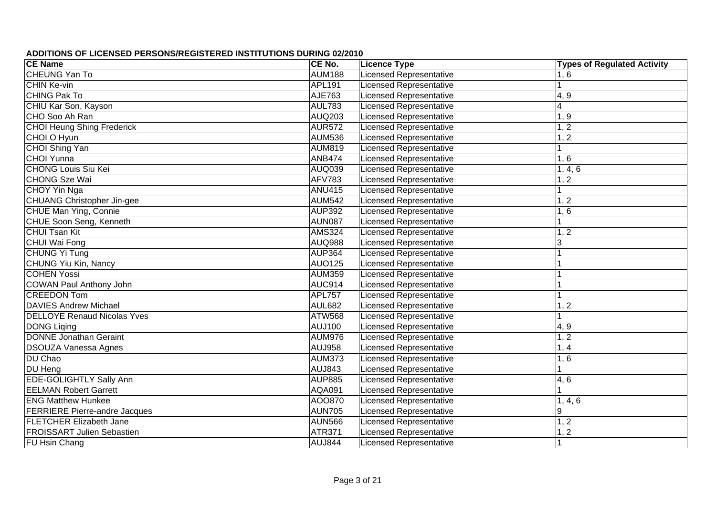| <b>CE Name</b>                       | CE No.        | <b>Licence Type</b>            | <b>Types of Regulated Activity</b> |
|--------------------------------------|---------------|--------------------------------|------------------------------------|
| <b>CHEUNG Yan To</b>                 | <b>AUM188</b> | <b>Licensed Representative</b> | 1, 6                               |
| CHIN Ke-vin                          | APL191        | <b>Licensed Representative</b> |                                    |
| <b>CHING Pak To</b>                  | AJE763        | <b>Licensed Representative</b> | 4, 9                               |
| CHIU Kar Son, Kayson                 | <b>AUL783</b> | <b>Licensed Representative</b> | $\overline{4}$                     |
| CHO Soo Ah Ran                       | <b>AUQ203</b> | <b>Licensed Representative</b> | 1, 9                               |
| <b>CHOI Heung Shing Frederick</b>    | <b>AUR572</b> | <b>Licensed Representative</b> | 1, 2                               |
| CHOI O Hyun                          | <b>AUM536</b> | <b>Licensed Representative</b> | $\overline{2}$                     |
| CHOI Shing Yan                       | <b>AUM819</b> | <b>Licensed Representative</b> |                                    |
| <b>CHOI Yunna</b>                    | <b>ANB474</b> | <b>Licensed Representative</b> | 1, 6                               |
| <b>CHONG Louis Siu Kei</b>           | <b>AUQ039</b> | <b>Licensed Representative</b> | 1, 4, 6                            |
| <b>CHONG Sze Wai</b>                 | <b>AFV783</b> | <b>Licensed Representative</b> | 1, 2                               |
| <b>CHOY Yin Nga</b>                  | <b>ANU415</b> | <b>Licensed Representative</b> |                                    |
| <b>CHUANG Christopher Jin-gee</b>    | <b>AUM542</b> | <b>Licensed Representative</b> | 1, 2                               |
| CHUE Man Ying, Connie                | <b>AUP392</b> | <b>Licensed Representative</b> | 1, 6                               |
| CHUE Soon Seng, Kenneth              | <b>AUN087</b> | <b>Licensed Representative</b> |                                    |
| <b>CHUI Tsan Kit</b>                 | <b>AMS324</b> | <b>Licensed Representative</b> | 1, 2                               |
| CHUI Wai Fong                        | <b>AUQ988</b> | <b>Licensed Representative</b> | 3                                  |
| CHUNG Yi Tung                        | <b>AUP364</b> | <b>Licensed Representative</b> |                                    |
| CHUNG Yiu Kin, Nancy                 | <b>AUO125</b> | <b>Licensed Representative</b> |                                    |
| <b>COHEN Yossi</b>                   | <b>AUM359</b> | <b>Licensed Representative</b> |                                    |
| <b>COWAN Paul Anthony John</b>       | <b>AUC914</b> | <b>Licensed Representative</b> |                                    |
| <b>CREEDON Tom</b>                   | <b>APL757</b> | <b>Licensed Representative</b> |                                    |
| <b>DAVIES Andrew Michael</b>         | <b>AUL682</b> | <b>Licensed Representative</b> | 1, 2                               |
| <b>DELLOYE Renaud Nicolas Yves</b>   | ATW568        | <b>Licensed Representative</b> |                                    |
| <b>DONG Liging</b>                   | AUJ100        | <b>Licensed Representative</b> | 4, 9                               |
| <b>DONNE Jonathan Geraint</b>        | <b>AUM976</b> | Licensed Representative        | 1, 2                               |
| <b>DSOUZA Vanessa Agnes</b>          | <b>AUJ958</b> | <b>Licensed Representative</b> | 1, 4                               |
| DU Chao                              | <b>AUM373</b> | <b>Licensed Representative</b> | 1, 6                               |
| DU Heng                              | AUJ843        | <b>Licensed Representative</b> |                                    |
| <b>EDE-GOLIGHTLY Sally Ann</b>       | <b>AUP885</b> | <b>Licensed Representative</b> | 4,6                                |
| <b>EELMAN Robert Garrett</b>         | <b>AQA091</b> | <b>Licensed Representative</b> |                                    |
| <b>ENG Matthew Hunkee</b>            | AOO870        | <b>Licensed Representative</b> | 1, 4, 6                            |
| <b>FERRIERE Pierre-andre Jacques</b> | <b>AUN705</b> | <b>Licensed Representative</b> | 9                                  |
| <b>FLETCHER Elizabeth Jane</b>       | <b>AUN566</b> | <b>Licensed Representative</b> | 1, 2                               |
| <b>FROISSART Julien Sebastien</b>    | <b>ATR371</b> | <b>Licensed Representative</b> | $1,\overline{2}$                   |
| <b>FU Hsin Chang</b>                 | <b>AUJ844</b> | <b>Licensed Representative</b> |                                    |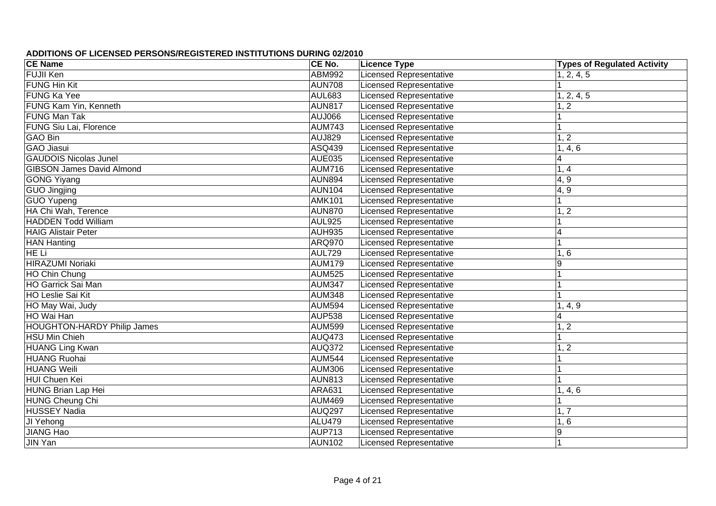| <b>CE Name</b>                     | CE No.        | <b>Licence Type</b>            | <b>Types of Regulated Activity</b> |
|------------------------------------|---------------|--------------------------------|------------------------------------|
| <b>FUJII Ken</b>                   | <b>ABM992</b> | Licensed Representative        | 1, 2, 4, 5                         |
| <b>FUNG Hin Kit</b>                | <b>AUN708</b> | <b>Licensed Representative</b> |                                    |
| FUNG Ka Yee                        | <b>AUL683</b> | <b>Licensed Representative</b> | 1, 2, 4, 5                         |
| FUNG Kam Yin, Kenneth              | <b>AUN817</b> | <b>Licensed Representative</b> | 1, 2                               |
| <b>FUNG Man Tak</b>                | <b>AUJ066</b> | Licensed Representative        |                                    |
| FUNG Siu Lai, Florence             | <b>AUM743</b> | <b>Licensed Representative</b> |                                    |
| <b>GAO Bin</b>                     | <b>AUJ829</b> | <b>Licensed Representative</b> | 1, 2                               |
| <b>GAO Jiasui</b>                  | ASQ439        | Licensed Representative        | 1, 4, 6                            |
| <b>GAUDOIS Nicolas Junel</b>       | <b>AUE035</b> | <b>Licensed Representative</b> | $\overline{\mathbf{4}}$            |
| <b>GIBSON James David Almond</b>   | <b>AUM716</b> | Licensed Representative        | 1, 4                               |
| <b>GONG Yiyang</b>                 | <b>AUN894</b> | <b>Licensed Representative</b> | 4, 9                               |
| GUO Jingjing                       | <b>AUN104</b> | <b>Licensed Representative</b> | 4, 9                               |
| GUO Yupeng                         | <b>AMK101</b> | Licensed Representative        |                                    |
| HA Chi Wah, Terence                | <b>AUN870</b> | Licensed Representative        | 1, 2                               |
| <b>HADDEN Todd William</b>         | <b>AUL925</b> | <b>Licensed Representative</b> |                                    |
| <b>HAIG Alistair Peter</b>         | <b>AUH935</b> | <b>Licensed Representative</b> | $\overline{4}$                     |
| <b>HAN Hanting</b>                 | <b>ARQ970</b> | <b>Licensed Representative</b> |                                    |
| HE Li                              | <b>AUL729</b> | <b>Licensed Representative</b> | 1, 6                               |
| <b>HIRAZUMI Noriaki</b>            | <b>AUM179</b> | <b>Licensed Representative</b> | $9\,$                              |
| HO Chin Chung                      | <b>AUM525</b> | <b>Licensed Representative</b> |                                    |
| HO Garrick Sai Man                 | <b>AUM347</b> | <b>Licensed Representative</b> |                                    |
| HO Leslie Sai Kit                  | <b>AUM348</b> | <b>Licensed Representative</b> | 1                                  |
| HO May Wai, Judy                   | <b>AUM594</b> | <b>Licensed Representative</b> | 1, 4, 9                            |
| HO Wai Han                         | <b>AUP538</b> | <b>Licensed Representative</b> | $\overline{\mathbf{4}}$            |
| <b>HOUGHTON-HARDY Philip James</b> | <b>AUM599</b> | <b>Licensed Representative</b> | 1, 2                               |
| <b>HSU Min Chieh</b>               | <b>AUQ473</b> | <b>Licensed Representative</b> |                                    |
| <b>HUANG Ling Kwan</b>             | <b>AUQ372</b> | <b>Licensed Representative</b> | 1, 2                               |
| <b>HUANG Ruohai</b>                | <b>AUM544</b> | <b>Licensed Representative</b> |                                    |
| <b>HUANG Weili</b>                 | <b>AUM306</b> | <b>Licensed Representative</b> |                                    |
| HUI Chuen Kei                      | <b>AUN813</b> | <b>Licensed Representative</b> |                                    |
| HUNG Brian Lap Hei                 | ARA631        | <b>Licensed Representative</b> | 1, 4, 6                            |
| <b>HUNG Cheung Chi</b>             | <b>AUM469</b> | <b>Licensed Representative</b> |                                    |
| <b>HUSSEY Nadia</b>                | <b>AUQ297</b> | <b>Licensed Representative</b> | 1, 7                               |
| JI Yehong                          | <b>ALU479</b> | <b>Licensed Representative</b> | 1, 6                               |
| <b>JIANG Hao</b>                   | <b>AUP713</b> | <b>Licensed Representative</b> | $\boldsymbol{9}$                   |
| <b>JIN Yan</b>                     | <b>AUN102</b> | <b>Licensed Representative</b> |                                    |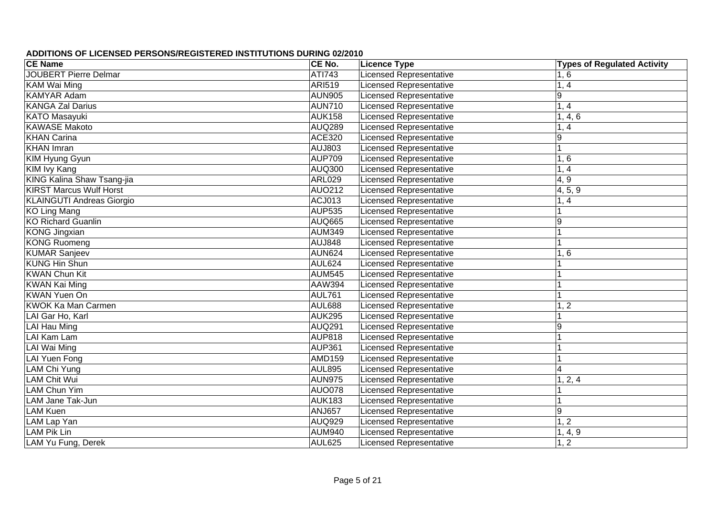| <b>CE Name</b>                   | CE No.        | <b>Licence Type</b>            | <b>Types of Regulated Activity</b> |
|----------------------------------|---------------|--------------------------------|------------------------------------|
| <b>JOUBERT Pierre Delmar</b>     | ATI743        | <b>Licensed Representative</b> | 1, 6                               |
| <b>KAM Wai Ming</b>              | <b>ARI519</b> | <b>Licensed Representative</b> | 1, 4                               |
| <b>KAMYAR Adam</b>               | <b>AUN905</b> | <b>Licensed Representative</b> | $\overline{9}$                     |
| <b>KANGA Zal Darius</b>          | <b>AUN710</b> | <b>Licensed Representative</b> | 1, 4                               |
| <b>KATO</b> Masayuki             | <b>AUK158</b> | <b>Licensed Representative</b> | 1, 4, 6                            |
| <b>KAWASE Makoto</b>             | <b>AUQ289</b> | <b>Licensed Representative</b> | 1, 4                               |
| <b>KHAN Carina</b>               | <b>ACE320</b> | <b>Licensed Representative</b> | $9\,$                              |
| <b>KHAN</b> Imran                | <b>AUJ803</b> | <b>Licensed Representative</b> |                                    |
| KIM Hyung Gyun                   | <b>AUP709</b> | <b>Licensed Representative</b> | 1, 6                               |
| KIM Ivy Kang                     | AUQ300        | <b>Licensed Representative</b> | 1, 4                               |
| KING Kalina Shaw Tsang-jia       | <b>ARL029</b> | <b>Licensed Representative</b> | 4, 9                               |
| <b>KIRST Marcus Wulf Horst</b>   | AUO212        | <b>Licensed Representative</b> | 4, 5, 9                            |
| <b>KLAINGUTI Andreas Giorgio</b> | ACJ013        | <b>Licensed Representative</b> | 1, 4                               |
| <b>KO Ling Mang</b>              | <b>AUP535</b> | <b>Licensed Representative</b> |                                    |
| <b>KO Richard Guanlin</b>        | <b>AUQ665</b> | <b>Licensed Representative</b> | $\boldsymbol{9}$                   |
| KONG Jingxian                    | <b>AUM349</b> | <b>Licensed Representative</b> |                                    |
| <b>KONG Ruomeng</b>              | <b>AUJ848</b> | Licensed Representative        |                                    |
| <b>KUMAR Sanjeev</b>             | <b>AUN624</b> | <b>Licensed Representative</b> | 1, 6                               |
| <b>KUNG Hin Shun</b>             | <b>AUL624</b> | <b>Licensed Representative</b> |                                    |
| <b>KWAN Chun Kit</b>             | <b>AUM545</b> | <b>Licensed Representative</b> |                                    |
| <b>KWAN Kai Ming</b>             | AAW394        | <b>Licensed Representative</b> |                                    |
| <b>KWAN Yuen On</b>              | <b>AUL761</b> | <b>Licensed Representative</b> |                                    |
| KWOK Ka Man Carmen               | AUL688        | <b>Licensed Representative</b> | 1, 2                               |
| LAI Gar Ho, Karl                 | <b>AUK295</b> | <b>Licensed Representative</b> |                                    |
| LAI Hau Ming                     | <b>AUQ291</b> | <b>Licensed Representative</b> | 9                                  |
| LAI Kam Lam                      | <b>AUP818</b> | <b>Licensed Representative</b> |                                    |
| LAI Wai Ming                     | <b>AUP361</b> | <b>Licensed Representative</b> |                                    |
| <b>LAI Yuen Fong</b>             | <b>AMD159</b> | <b>Licensed Representative</b> |                                    |
| LAM Chi Yung                     | <b>AUL895</b> | <b>Licensed Representative</b> | $\overline{4}$                     |
| <b>LAM Chit Wui</b>              | <b>AUN975</b> | <b>Licensed Representative</b> | 1, 2, 4                            |
| <b>LAM Chun Yim</b>              | <b>AUO078</b> | <b>Licensed Representative</b> |                                    |
| LAM Jane Tak-Jun                 | <b>AUK183</b> | <b>Licensed Representative</b> |                                    |
| <b>LAM Kuen</b>                  | <b>ANJ657</b> | <b>Licensed Representative</b> | 9                                  |
| LAM Lap Yan                      | <b>AUQ929</b> | <b>Licensed Representative</b> | 1, 2                               |
| <b>LAM Pik Lin</b>               | <b>AUM940</b> | <b>Licensed Representative</b> | 1, 4, 9                            |
| LAM Yu Fung, Derek               | AUL625        | <b>Licensed Representative</b> | 1, 2                               |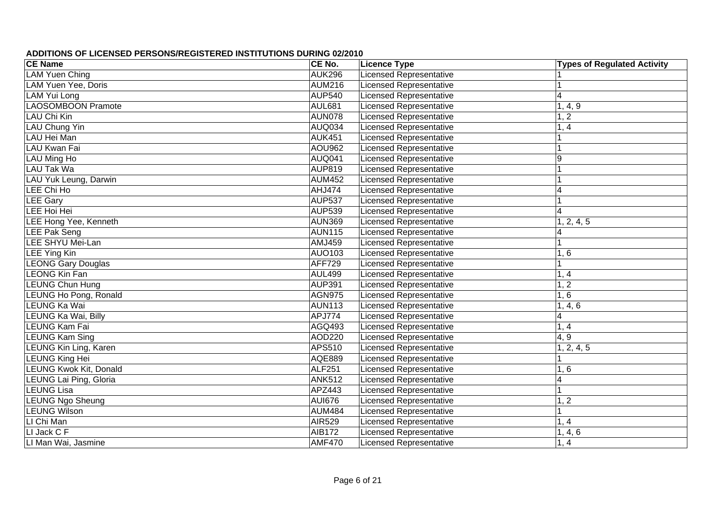| <b>CE Name</b>                | CE No.        | <b>Licence Type</b>            | <b>Types of Regulated Activity</b> |
|-------------------------------|---------------|--------------------------------|------------------------------------|
| <b>LAM Yuen Ching</b>         | <b>AUK296</b> | <b>Licensed Representative</b> |                                    |
| LAM Yuen Yee, Doris           | <b>AUM216</b> | <b>Licensed Representative</b> |                                    |
| <b>LAM Yui Long</b>           | <b>AUP540</b> | <b>Licensed Representative</b> | $\overline{\mathbf{4}}$            |
| <b>LAOSOMBOON Pramote</b>     | <b>AUL681</b> | <b>Licensed Representative</b> | 1, 4, 9                            |
| <b>LAU Chi Kin</b>            | <b>AUN078</b> | <b>Licensed Representative</b> | 1, 2                               |
| LAU Chung Yin                 | <b>AUQ034</b> | <b>Licensed Representative</b> | 1, 4                               |
| LAU Hei Man                   | <b>AUK451</b> | <b>Licensed Representative</b> |                                    |
| LAU Kwan Fai                  | <b>AOU962</b> | <b>Licensed Representative</b> |                                    |
| LAU Ming Ho                   | <b>AUQ041</b> | <b>Licensed Representative</b> | $\boldsymbol{9}$                   |
| LAU Tak Wa                    | <b>AUP819</b> | <b>Licensed Representative</b> |                                    |
| LAU Yuk Leung, Darwin         | <b>AUM452</b> | <b>Licensed Representative</b> |                                    |
| LEE Chi Ho                    | AHJ474        | <b>Licensed Representative</b> | 4                                  |
| <b>LEE Gary</b>               | <b>AUP537</b> | <b>Licensed Representative</b> |                                    |
| LEE Hoi Hei                   | <b>AUP539</b> | <b>Licensed Representative</b> | $\overline{4}$                     |
| LEE Hong Yee, Kenneth         | <b>AUN369</b> | <b>Licensed Representative</b> | 1, 2, 4, 5                         |
| <b>LEE Pak Seng</b>           | <b>AUN115</b> | <b>Licensed Representative</b> | 4                                  |
| LEE SHYU Mei-Lan              | AMJ459        | <b>Licensed Representative</b> |                                    |
| <b>LEE Ying Kin</b>           | AUO103        | <b>Licensed Representative</b> | 1, 6                               |
| <b>LEONG Gary Douglas</b>     | <b>AFF729</b> | <b>Licensed Representative</b> |                                    |
| <b>LEONG Kin Fan</b>          | <b>AUL499</b> | <b>Licensed Representative</b> | 1, 4                               |
| <b>LEUNG Chun Hung</b>        | <b>AUP391</b> | <b>Licensed Representative</b> | 1, 2                               |
| LEUNG Ho Pong, Ronald         | <b>AGN975</b> | <b>Licensed Representative</b> | 1, 6                               |
| LEUNG Ka Wai                  | <b>AUN113</b> | <b>Licensed Representative</b> | 1, 4, 6                            |
| LEUNG Ka Wai, Billy           | APJ774        | <b>Licensed Representative</b> | $\overline{\mathbf{4}}$            |
| <b>LEUNG Kam Fai</b>          | <b>AGQ493</b> | <b>Licensed Representative</b> | 1, 4                               |
| <b>LEUNG Kam Sing</b>         | AOD220        | <b>Licensed Representative</b> | 4, 9                               |
| <b>LEUNG Kin Ling, Karen</b>  | APS510        | <b>Licensed Representative</b> | 1, 2, 4, 5                         |
| <b>LEUNG King Hei</b>         | <b>AQE889</b> | <b>Licensed Representative</b> |                                    |
| <b>LEUNG Kwok Kit, Donald</b> | <b>ALF251</b> | <b>Licensed Representative</b> | 1, 6                               |
| LEUNG Lai Ping, Gloria        | <b>ANK512</b> | <b>Licensed Representative</b> | $\overline{4}$                     |
| <b>LEUNG Lisa</b>             | APZ443        | <b>Licensed Representative</b> |                                    |
| <b>LEUNG Ngo Sheung</b>       | <b>AUI676</b> | <b>Licensed Representative</b> | 1, 2                               |
| <b>LEUNG Wilson</b>           | <b>AUM484</b> | <b>Licensed Representative</b> | 1                                  |
| LI Chi Man                    | <b>AIR529</b> | <b>Licensed Representative</b> | 1, 4                               |
| LI Jack C F                   | <b>AIB172</b> | <b>Licensed Representative</b> | 1, 4, 6                            |
| LI Man Wai, Jasmine           | <b>AMF470</b> | <b>Licensed Representative</b> | 1, 4                               |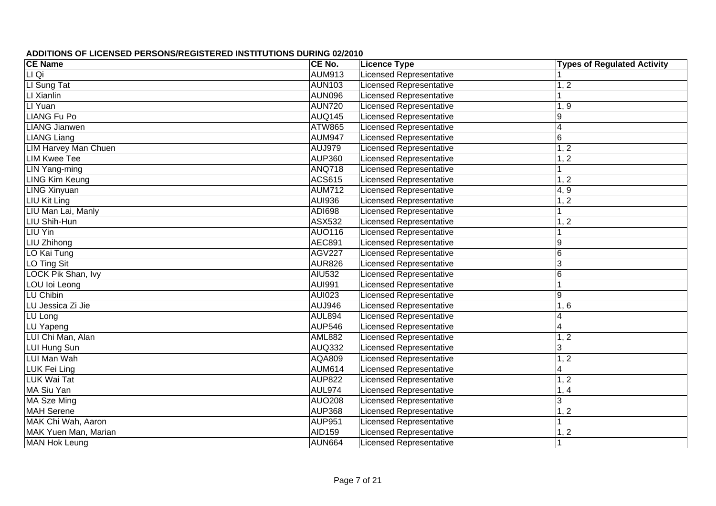| <b>CE Name</b>              | CE No.        | <b>Licence Type</b>            | <b>Types of Regulated Activity</b> |
|-----------------------------|---------------|--------------------------------|------------------------------------|
| LI Qi                       | <b>AUM913</b> | <b>Licensed Representative</b> |                                    |
| LI Sung Tat                 | <b>AUN103</b> | <b>Licensed Representative</b> | 1, 2                               |
| LI Xianlin                  | <b>AUN096</b> | <b>Licensed Representative</b> |                                    |
| LI Yuan                     | <b>AUN720</b> | <b>Licensed Representative</b> | 1, 9                               |
| <b>LIANG Fu Po</b>          | <b>AUQ145</b> | <b>Licensed Representative</b> | $9\,$                              |
| <b>LIANG</b> Jianwen        | <b>ATW865</b> | <b>Licensed Representative</b> | $\overline{4}$                     |
| <b>LIANG Liang</b>          | <b>AUM947</b> | <b>Licensed Representative</b> | 6                                  |
| <b>LIM Harvey Man Chuen</b> | <b>AUJ979</b> | <b>Licensed Representative</b> | 1, 2                               |
| <b>LIM Kwee Tee</b>         | <b>AUP360</b> | <b>Licensed Representative</b> | $\overline{2}$                     |
| <b>LIN</b> Yang-ming        | <b>ANQ718</b> | <b>Licensed Representative</b> |                                    |
| <b>LING Kim Keung</b>       | <b>ACS615</b> | <b>Licensed Representative</b> | 1, 2                               |
| <b>LING Xinyuan</b>         | <b>AUM712</b> | <b>Licensed Representative</b> | 4, 9                               |
| LIU Kit Ling                | <b>AUI936</b> | <b>Licensed Representative</b> | 1, 2                               |
| LIU Man Lai, Manly          | ADI698        | <b>Licensed Representative</b> |                                    |
| LIU Shih-Hun                | ASX532        | <b>Licensed Representative</b> | 1, 2                               |
| LIU Yin                     | <b>AUO116</b> | <b>Licensed Representative</b> |                                    |
| LIU Zhihong                 | <b>AEC891</b> | <b>Licensed Representative</b> | $\boldsymbol{9}$                   |
| LO Kai Tung                 | <b>AGV227</b> | <b>Licensed Representative</b> | $\,6$                              |
| LO Ting Sit                 | <b>AUR826</b> | <b>Licensed Representative</b> | $\mathbf{3}$                       |
| LOCK Pik Shan, Ivy          | <b>AIU532</b> | <b>Licensed Representative</b> | $\,6$                              |
| LOU loi Leong               | <b>AUI991</b> | <b>Licensed Representative</b> |                                    |
| LU Chibin                   | <b>AUI023</b> | <b>Licensed Representative</b> | $9\,$                              |
| LU Jessica Zi Jie           | AUJ946        | <b>Licensed Representative</b> | 1, 6                               |
| LU Long                     | <b>AUL894</b> | <b>Licensed Representative</b> | $\overline{4}$                     |
| LU Yapeng                   | <b>AUP546</b> | <b>Licensed Representative</b> | $\overline{4}$                     |
| LUI Chi Man, Alan           | <b>AML882</b> | <b>Licensed Representative</b> | 1, 2                               |
| LUI Hung Sun                | <b>AUQ332</b> | <b>Licensed Representative</b> | 3                                  |
| LUI Man Wah                 | AQA809        | <b>Licensed Representative</b> | 1, 2                               |
| LUK Fei Ling                | <b>AUM614</b> | <b>Licensed Representative</b> | $\overline{\mathbf{4}}$            |
| LUK Wai Tat                 | <b>AUP822</b> | <b>Licensed Representative</b> | 1, 2                               |
| MA Siu Yan                  | AUL974        | <b>Licensed Representative</b> | 1, 4                               |
| <b>MA Sze Ming</b>          | <b>AUO208</b> | <b>Licensed Representative</b> | 3                                  |
| <b>MAH</b> Serene           | <b>AUP368</b> | <b>Licensed Representative</b> | $\overline{2}$                     |
| MAK Chi Wah, Aaron          | <b>AUP951</b> | <b>Licensed Representative</b> |                                    |
| MAK Yuen Man, Marian        | AID159        | <b>Licensed Representative</b> | 1, 2                               |
| <b>MAN Hok Leung</b>        | <b>AUN664</b> | <b>Licensed Representative</b> |                                    |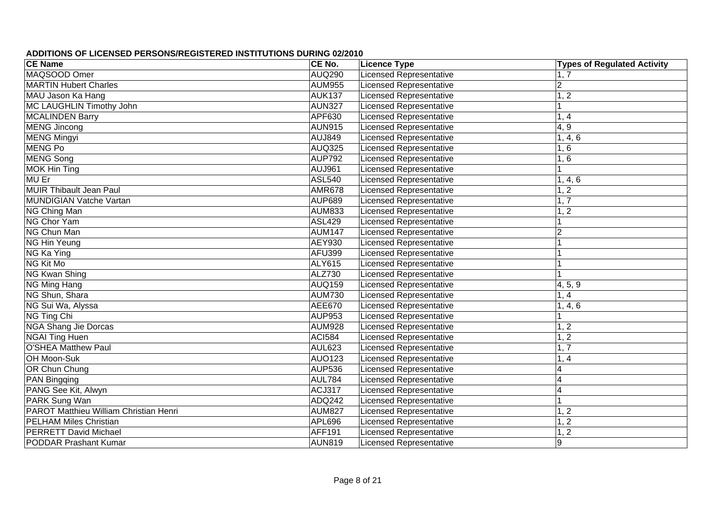| <b>CE Name</b>                         | CE No.        | <b>Licence Type</b>            | <b>Types of Regulated Activity</b> |
|----------------------------------------|---------------|--------------------------------|------------------------------------|
| MAQSOOD Omer                           | <b>AUQ290</b> | <b>Licensed Representative</b> | 1, 7                               |
| <b>MARTIN Hubert Charles</b>           | <b>AUM955</b> | <b>Licensed Representative</b> | $\overline{c}$                     |
| MAU Jason Ka Hang                      | <b>AUK137</b> | <b>Licensed Representative</b> | 1, 2                               |
| MC LAUGHLIN Timothy John               | <b>AUN327</b> | <b>Licensed Representative</b> |                                    |
| <b>MCALINDEN Barry</b>                 | APF630        | <b>Licensed Representative</b> | 1, 4                               |
| <b>MENG Jincong</b>                    | <b>AUN915</b> | <b>Licensed Representative</b> | 4, 9                               |
| <b>MENG Mingyi</b>                     | <b>AUJ849</b> | <b>Licensed Representative</b> | 1, 4, 6                            |
| <b>MENG Po</b>                         | <b>AUQ325</b> | <b>Licensed Representative</b> | 1, 6                               |
| <b>MENG Song</b>                       | <b>AUP792</b> | <b>Licensed Representative</b> | 1, 6                               |
| <b>MOK Hin Ting</b>                    | <b>AUJ961</b> | Licensed Representative        |                                    |
| <b>MU Er</b>                           | <b>ASL540</b> | <b>Licensed Representative</b> | 1, 4, 6                            |
| <b>MUIR Thibault Jean Paul</b>         | <b>AMR678</b> | <b>Licensed Representative</b> | 1, 2                               |
| <b>MUNDIGIAN Vatche Vartan</b>         | <b>AUP689</b> | <b>Licensed Representative</b> | 1, 7                               |
| NG Ching Man                           | <b>AUM833</b> | <b>Licensed Representative</b> | 1, 2                               |
| NG Chor Yam                            | <b>ASL429</b> | <b>Licensed Representative</b> |                                    |
| NG Chun Man                            | <b>AUM147</b> | <b>Licensed Representative</b> | $\overline{2}$                     |
| NG Hin Yeung                           | <b>AEY930</b> | Licensed Representative        |                                    |
| NG Ka Ying                             | <b>AFU399</b> | <b>Licensed Representative</b> |                                    |
| <b>NG Kit Mo</b>                       | ALY615        | Licensed Representative        |                                    |
| NG Kwan Shing                          | ALZ730        | <b>Licensed Representative</b> |                                    |
| NG Ming Hang                           | <b>AUQ159</b> | <b>Licensed Representative</b> | 4, 5, 9                            |
| NG Shun, Shara                         | <b>AUM730</b> | Licensed Representative        | 1, 4                               |
| NG Sui Wa, Alyssa                      | <b>AEE670</b> | <b>Licensed Representative</b> | 1, 4, 6                            |
| NG Ting Chi                            | <b>AUP953</b> | <b>Licensed Representative</b> |                                    |
| <b>NGA Shang Jie Dorcas</b>            | <b>AUM928</b> | <b>Licensed Representative</b> | 1, 2                               |
| <b>NGAI Ting Huen</b>                  | <b>ACI584</b> | <b>Licensed Representative</b> | 1, 2                               |
| <b>O'SHEA Matthew Paul</b>             | <b>AUL623</b> | <b>Licensed Representative</b> | 1, 7                               |
| OH Moon-Suk                            | <b>AUO123</b> | <b>Licensed Representative</b> | 1, 4                               |
| OR Chun Chung                          | <b>AUP536</b> | <b>Licensed Representative</b> | 4                                  |
| <b>PAN</b> Bingqing                    | <b>AUL784</b> | <b>Licensed Representative</b> | 4                                  |
| PANG See Kit, Alwyn                    | ACJ317        | <b>Licensed Representative</b> | 4                                  |
| PARK Sung Wan                          | <b>ADQ242</b> | <b>Licensed Representative</b> |                                    |
| PAROT Matthieu William Christian Henri | <b>AUM827</b> | <b>Licensed Representative</b> | 1, 2                               |
| <b>PELHAM Miles Christian</b>          | <b>APL696</b> | <b>Licensed Representative</b> | 1, 2                               |
| <b>PERRETT David Michael</b>           | <b>AFF191</b> | <b>Licensed Representative</b> | 1, 2                               |
| <b>PODDAR Prashant Kumar</b>           | AUN819        | <b>Licensed Representative</b> | 9                                  |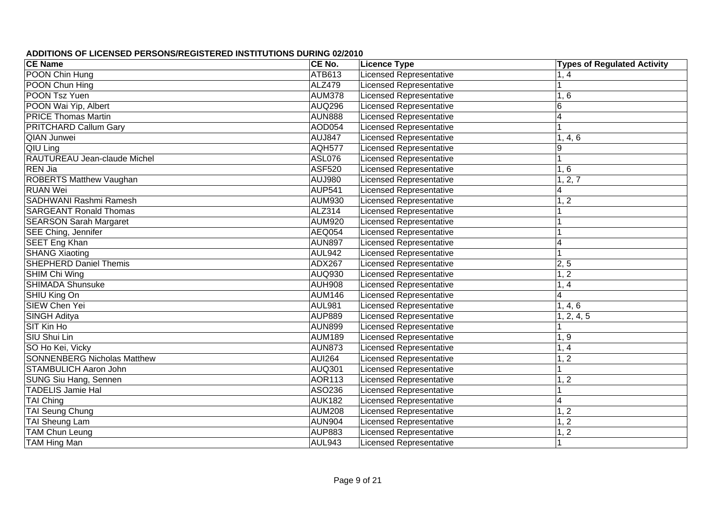| <b>CE Name</b>                     | CE No.        | <b>Licence Type</b>            | <b>Types of Regulated Activity</b> |
|------------------------------------|---------------|--------------------------------|------------------------------------|
| POON Chin Hung                     | ATB613        | <b>Licensed Representative</b> | 1, 4                               |
| POON Chun Hing                     | <b>ALZ479</b> | <b>Licensed Representative</b> |                                    |
| POON Tsz Yuen                      | <b>AUM378</b> | <b>Licensed Representative</b> | 1, 6                               |
| POON Wai Yip, Albert               | <b>AUQ296</b> | <b>Licensed Representative</b> | $\overline{6}$                     |
| <b>PRICE Thomas Martin</b>         | <b>AUN888</b> | <b>Licensed Representative</b> | $\overline{\mathbf{4}}$            |
| PRITCHARD Callum Gary              | AOD054        | <b>Licensed Representative</b> | $\mathbf 1$                        |
| <b>QIAN Junwei</b>                 | <b>AUJ847</b> | <b>Licensed Representative</b> | 1, 4, 6                            |
| QIU Ling                           | <b>AQH577</b> | <b>Licensed Representative</b> | 9                                  |
| RAUTUREAU Jean-claude Michel       | <b>ASL076</b> | <b>Licensed Representative</b> | $\overline{1}$                     |
| <b>REN Jia</b>                     | <b>ASF520</b> | <b>Licensed Representative</b> | 1, 6                               |
| <b>ROBERTS Matthew Vaughan</b>     | AUJ980        | <b>Licensed Representative</b> | 1, 2, 7                            |
| <b>RUAN Wei</b>                    | <b>AUP541</b> | <b>Licensed Representative</b> | 4                                  |
| SADHWANI Rashmi Ramesh             | <b>AUM930</b> | <b>Licensed Representative</b> | 1, 2                               |
| <b>SARGEANT Ronald Thomas</b>      | ALZ314        | <b>Licensed Representative</b> |                                    |
| <b>SEARSON Sarah Margaret</b>      | <b>AUM920</b> | Licensed Representative        |                                    |
| SEE Ching, Jennifer                | AEQ054        | Licensed Representative        |                                    |
| SEET Eng Khan                      | <b>AUN897</b> | <b>Licensed Representative</b> | 4                                  |
| <b>SHANG Xiaoting</b>              | <b>AUL942</b> | <b>Licensed Representative</b> | 1                                  |
| <b>SHEPHERD Daniel Themis</b>      | <b>ADX267</b> | <b>Licensed Representative</b> | 2, 5                               |
| SHIM Chi Wing                      | AUQ930        | <b>Licensed Representative</b> | 1, 2                               |
| <b>SHIMADA Shunsuke</b>            | <b>AUH908</b> | <b>Licensed Representative</b> | 1, 4                               |
| SHIU King On                       | <b>AUM146</b> | <b>Licensed Representative</b> | $\overline{4}$                     |
| SIEW Chen Yei                      | <b>AUL981</b> | <b>Licensed Representative</b> | 1, 4, 6                            |
| <b>SINGH Aditya</b>                | <b>AUP889</b> | <b>Licensed Representative</b> | 1, 2, 4, 5                         |
| SIT Kin Ho                         | <b>AUN899</b> | <b>Licensed Representative</b> |                                    |
| SIU Shui Lin                       | <b>AUM189</b> | <b>Licensed Representative</b> | 1, 9                               |
| SO Ho Kei, Vicky                   | <b>AUN873</b> | <b>Licensed Representative</b> | 1, 4                               |
| <b>SONNENBERG Nicholas Matthew</b> | <b>AUI264</b> | <b>Licensed Representative</b> | 1, 2                               |
| <b>STAMBULICH Aaron John</b>       | <b>AUQ301</b> | <b>Licensed Representative</b> | 1                                  |
| SUNG Siu Hang, Sennen              | <b>AOR113</b> | <b>Licensed Representative</b> | 1, 2                               |
| <b>TADELIS Jamie Hal</b>           | ASO236        | <b>Licensed Representative</b> |                                    |
| <b>TAI Ching</b>                   | <b>AUK182</b> | <b>Licensed Representative</b> | $\overline{4}$                     |
| TAI Seung Chung                    | <b>AUM208</b> | <b>Licensed Representative</b> | 1, 2                               |
| TAI Sheung Lam                     | <b>AUN904</b> | <b>Licensed Representative</b> | 1, 2                               |
| <b>TAM Chun Leung</b>              | <b>AUP883</b> | <b>Licensed Representative</b> | 1, 2                               |
| <b>TAM Hing Man</b>                | AUL943        | <b>Licensed Representative</b> | 1                                  |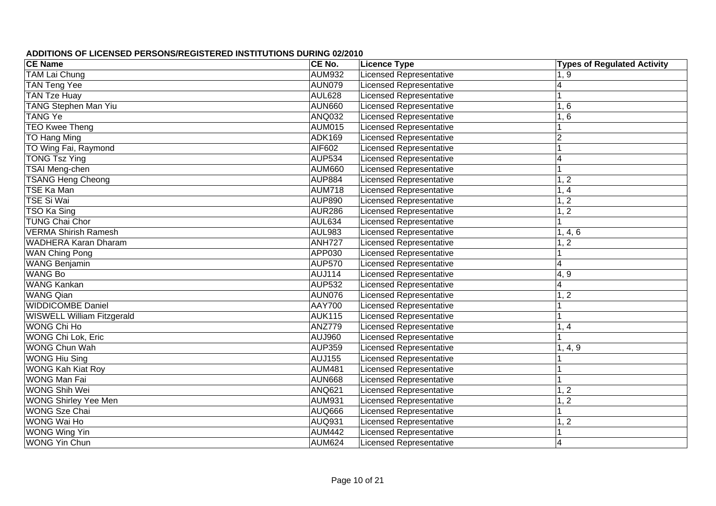| <b>CE Name</b>                    | CE No.        | <b>Licence Type</b>            | <b>Types of Regulated Activity</b> |
|-----------------------------------|---------------|--------------------------------|------------------------------------|
| <b>TAM Lai Chung</b>              | <b>AUM932</b> | <b>Licensed Representative</b> | 1, 9                               |
| <b>TAN Teng Yee</b>               | <b>AUN079</b> | <b>Licensed Representative</b> | $\overline{\mathbf{4}}$            |
| <b>TAN Tze Huay</b>               | <b>AUL628</b> | <b>Licensed Representative</b> |                                    |
| <b>TANG Stephen Man Yiu</b>       | <b>AUN660</b> | <b>Licensed Representative</b> | 1, 6                               |
| <b>TANG Ye</b>                    | <b>ANQ032</b> | <b>Licensed Representative</b> | $1,\overline{6}$                   |
| <b>TEO Kwee Theng</b>             | <b>AUM015</b> | <b>Licensed Representative</b> |                                    |
| <b>TO Hang Ming</b>               | <b>ADK169</b> | <b>Licensed Representative</b> | $\overline{2}$                     |
| TO Wing Fai, Raymond              | <b>AIF602</b> | <b>Licensed Representative</b> | 1                                  |
| <b>TONG Tsz Ying</b>              | <b>AUP534</b> | <b>Licensed Representative</b> | $\overline{\mathbf{4}}$            |
| <b>TSAI Meng-chen</b>             | <b>AUM660</b> | <b>Licensed Representative</b> | $\overline{1}$                     |
| <b>TSANG Heng Cheong</b>          | <b>AUP884</b> | <b>Licensed Representative</b> | 1, 2                               |
| <b>TSE Ka Man</b>                 | <b>AUM718</b> | <b>Licensed Representative</b> | 1, 4                               |
| <b>TSE Si Wai</b>                 | <b>AUP890</b> | <b>Licensed Representative</b> | 1, 2                               |
| TSO Ka Sing                       | <b>AUR286</b> | <b>Licensed Representative</b> | 1, 2                               |
| <b>TUNG Chai Chor</b>             | AUL634        | <b>Licensed Representative</b> |                                    |
| <b>VERMA Shirish Ramesh</b>       | <b>AUL983</b> | <b>Licensed Representative</b> | 1, 4, 6                            |
| <b>WADHERA Karan Dharam</b>       | <b>ANH727</b> | <b>Licensed Representative</b> | 1, 2                               |
| <b>WAN Ching Pong</b>             | APP030        | Licensed Representative        |                                    |
| <b>WANG Benjamin</b>              | <b>AUP570</b> | <b>Licensed Representative</b> | 4                                  |
| <b>WANG Bo</b>                    | <b>AUJ114</b> | Licensed Representative        | 4, 9                               |
| WANG Kankan                       | <b>AUP532</b> | <b>Licensed Representative</b> | 4                                  |
| <b>WANG Qian</b>                  | <b>AUN076</b> | <b>Licensed Representative</b> | 1, 2                               |
| <b>WIDDICOMBE Daniel</b>          | <b>AAY700</b> | <b>Licensed Representative</b> |                                    |
| <b>WISWELL William Fitzgerald</b> | <b>AUK115</b> | <b>Licensed Representative</b> |                                    |
| WONG Chi Ho                       | <b>ANZ779</b> | <b>Licensed Representative</b> | 1, 4                               |
| WONG Chi Lok, Eric                | <b>AUJ960</b> | <b>Licensed Representative</b> |                                    |
| <b>WONG Chun Wah</b>              | <b>AUP359</b> | <b>Licensed Representative</b> | 1, 4, 9                            |
| <b>WONG Hiu Sing</b>              | <b>AUJ155</b> | <b>Licensed Representative</b> |                                    |
| <b>WONG Kah Kiat Roy</b>          | <b>AUM481</b> | <b>Licensed Representative</b> |                                    |
| <b>WONG Man Fai</b>               | <b>AUN668</b> | <b>Licensed Representative</b> |                                    |
| <b>WONG Shih Wei</b>              | <b>ANQ621</b> | <b>Licensed Representative</b> | 1, 2                               |
| <b>WONG Shirley Yee Men</b>       | <b>AUM931</b> | <b>Licensed Representative</b> | 1, 2                               |
| <b>WONG Sze Chai</b>              | <b>AUQ666</b> | <b>Licensed Representative</b> | $\overline{1}$                     |
| WONG Wai Ho                       | <b>AUQ931</b> | <b>Licensed Representative</b> | 1, 2                               |
| <b>WONG Wing Yin</b>              | <b>AUM442</b> | <b>Licensed Representative</b> | $\overline{1}$                     |
| <b>WONG Yin Chun</b>              | <b>AUM624</b> | <b>Licensed Representative</b> | $\overline{4}$                     |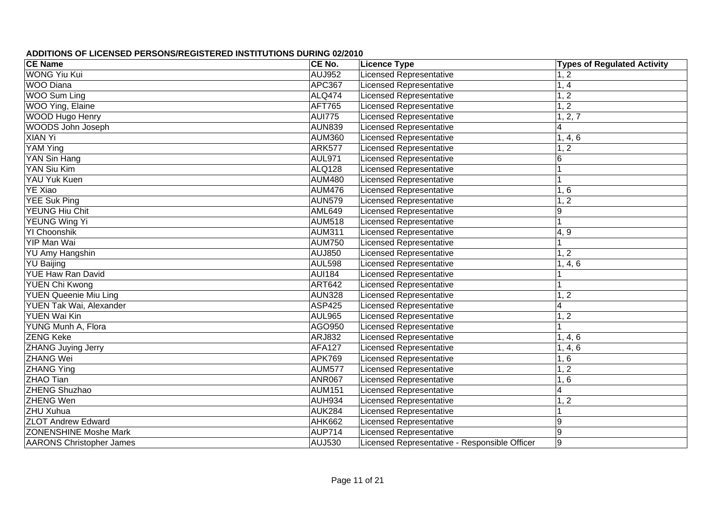| <b>CE Name</b>                  | CE No.        | <b>Licence Type</b>                           | <b>Types of Regulated Activity</b> |
|---------------------------------|---------------|-----------------------------------------------|------------------------------------|
| <b>WONG Yiu Kui</b>             | <b>AUJ952</b> | <b>Licensed Representative</b>                | 1, 2                               |
| <b>WOO</b> Diana                | <b>APC367</b> | <b>Licensed Representative</b>                | 1, 4                               |
| <b>WOO Sum Ling</b>             | <b>ALQ474</b> | <b>Licensed Representative</b>                | 1, 2                               |
| WOO Ying, Elaine                | AFT765        | <b>Licensed Representative</b>                | 1, 2                               |
| WOOD Hugo Henry                 | <b>AUI775</b> | <b>Licensed Representative</b>                | 2, 7                               |
| <b>WOODS John Joseph</b>        | <b>AUN839</b> | <b>Licensed Representative</b>                | $\overline{4}$                     |
| <b>XIAN Yi</b>                  | <b>AUM360</b> | <b>Licensed Representative</b>                | 1, 4, 6                            |
| YAM Ying                        | <b>ARK577</b> | <b>Licensed Representative</b>                | $\overline{2}$<br>1,               |
| YAN Sin Hang                    | <b>AUL971</b> | <b>Licensed Representative</b>                | 6                                  |
| YAN Siu Kim                     | <b>ALQ128</b> | <b>Licensed Representative</b>                |                                    |
| <b>YAU Yuk Kuen</b>             | <b>AUM480</b> | <b>Licensed Representative</b>                |                                    |
| <b>YE Xiao</b>                  | <b>AUM476</b> | <b>Licensed Representative</b>                | 1, 6                               |
| <b>YEE Suk Ping</b>             | <b>AUN579</b> | <b>Licensed Representative</b>                | 1, 2                               |
| YEUNG Hiu Chit                  | <b>AML649</b> | <b>Licensed Representative</b>                | 9                                  |
| YEUNG Wing Yi                   | <b>AUM518</b> | <b>Licensed Representative</b>                |                                    |
| YI Choonshik                    | <b>AUM311</b> | <b>Licensed Representative</b>                | 4, 9                               |
| YIP Man Wai                     | <b>AUM750</b> | <b>Licensed Representative</b>                |                                    |
| <b>YU Amy Hangshin</b>          | AUJ850        | <b>Licensed Representative</b>                | 1, 2                               |
| <b>YU Baijing</b>               | <b>AUL598</b> | <b>Licensed Representative</b>                | 1, 4, 6                            |
| YUE Haw Ran David               | <b>AUI184</b> | <b>Licensed Representative</b>                |                                    |
| YUEN Chi Kwong                  | <b>ART642</b> | <b>Licensed Representative</b>                |                                    |
| <b>YUEN Queenie Miu Ling</b>    | <b>AUN328</b> | <b>Licensed Representative</b>                | 1, 2                               |
| YUEN Tak Wai, Alexander         | <b>ASP425</b> | <b>Licensed Representative</b>                | $\overline{\mathbf{4}}$            |
| <b>YUEN Wai Kin</b>             | <b>AUL965</b> | <b>Licensed Representative</b>                | 1, 2                               |
| YUNG Munh A, Flora              | AGO950        | <b>Licensed Representative</b>                |                                    |
| <b>ZENG Keke</b>                | ARJ832        | <b>Licensed Representative</b>                | 1, 4, 6                            |
| <b>ZHANG Juying Jerry</b>       | <b>AFA127</b> | <b>Licensed Representative</b>                | 1, 4, 6                            |
| <b>ZHANG Wei</b>                | <b>APK769</b> | <b>Licensed Representative</b>                | 1, 6                               |
| <b>ZHANG Ying</b>               | <b>AUM577</b> | <b>Licensed Representative</b>                | 1, 2                               |
| <b>ZHAO Tian</b>                | <b>ANR067</b> | <b>Licensed Representative</b>                | 1, 6                               |
| <b>ZHENG Shuzhao</b>            | <b>AUM151</b> | <b>Licensed Representative</b>                | 4                                  |
| <b>ZHENG Wen</b>                | <b>AUH934</b> | <b>Licensed Representative</b>                | 1, 2                               |
| <b>ZHU Xuhua</b>                | <b>AUK284</b> | <b>Licensed Representative</b>                |                                    |
| <b>ZLOT Andrew Edward</b>       | <b>AHK662</b> | <b>Licensed Representative</b>                | 9                                  |
| <b>ZONENSHINE Moshe Mark</b>    | <b>AUP714</b> | <b>Licensed Representative</b>                | $9\,$                              |
| <b>AARONS Christopher James</b> | AUJ530        | Licensed Representative - Responsible Officer | 9                                  |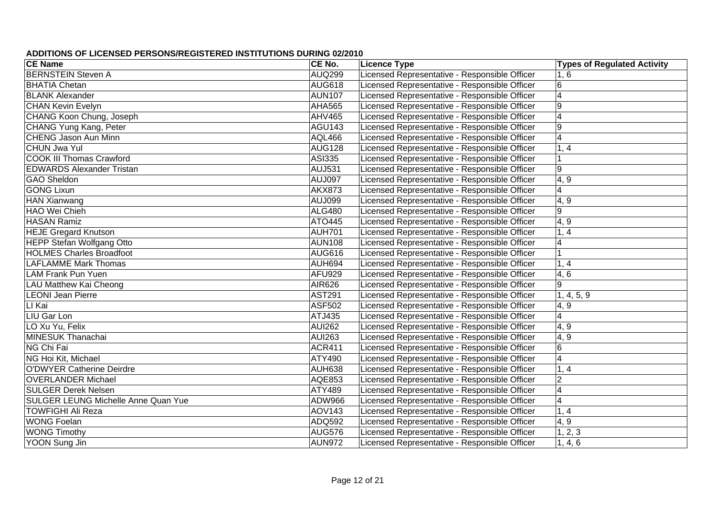| <b>CE Name</b>                             | CE No.        | <b>Licence Type</b>                           | <b>Types of Regulated Activity</b> |
|--------------------------------------------|---------------|-----------------------------------------------|------------------------------------|
| <b>BERNSTEIN Steven A</b>                  | <b>AUQ299</b> | Licensed Representative - Responsible Officer | 1, 6                               |
| <b>BHATIA Chetan</b>                       | <b>AUG618</b> | Licensed Representative - Responsible Officer | $6\phantom{1}$                     |
| <b>BLANK Alexander</b>                     | <b>AUN107</b> | Licensed Representative - Responsible Officer | $\overline{4}$                     |
| <b>CHAN Kevin Evelyn</b>                   | <b>AHA565</b> | Licensed Representative - Responsible Officer | $9\,$                              |
| CHANG Koon Chung, Joseph                   | <b>AHV465</b> | Licensed Representative - Responsible Officer | $\overline{4}$                     |
| CHANG Yung Kang, Peter                     | <b>AGU143</b> | Licensed Representative - Responsible Officer | $9\,$                              |
| <b>CHENG Jason Aun Minn</b>                | <b>AQL466</b> | Licensed Representative - Responsible Officer | $\overline{4}$                     |
| <b>CHUN Jwa Yul</b>                        | <b>AUG128</b> | Licensed Representative - Responsible Officer | 1, 4                               |
| <b>COOK III Thomas Crawford</b>            | <b>ASI335</b> | Licensed Representative - Responsible Officer |                                    |
| <b>EDWARDS Alexander Tristan</b>           | <b>AUJ531</b> | Licensed Representative - Responsible Officer | 9                                  |
| <b>GAO Sheldon</b>                         | AUJ097        | Licensed Representative - Responsible Officer | 4, 9                               |
| <b>GONG Lixun</b>                          | <b>AKX873</b> | Licensed Representative - Responsible Officer | $\overline{4}$                     |
| <b>HAN Xianwang</b>                        | <b>AUJ099</b> | Licensed Representative - Responsible Officer | 4, 9                               |
| <b>HAO Wei Chieh</b>                       | <b>ALG480</b> | Licensed Representative - Responsible Officer | 9                                  |
| <b>HASAN Ramiz</b>                         | ATO445        | Licensed Representative - Responsible Officer | 4, 9                               |
| <b>HEJE Gregard Knutson</b>                | <b>AUH701</b> | Licensed Representative - Responsible Officer | 1, 4                               |
| <b>HEPP Stefan Wolfgang Otto</b>           | <b>AUN108</b> | Licensed Representative - Responsible Officer | $\overline{4}$                     |
| <b>HOLMES Charles Broadfoot</b>            | <b>AUG616</b> | Licensed Representative - Responsible Officer |                                    |
| <b>LAFLAMME Mark Thomas</b>                | AUH694        | Licensed Representative - Responsible Officer | 1, 4                               |
| <b>LAM Frank Pun Yuen</b>                  | <b>AFU929</b> | Licensed Representative - Responsible Officer | 4,6                                |
| LAU Matthew Kai Cheong                     | AIR626        | Licensed Representative - Responsible Officer | 9                                  |
| <b>LEONI Jean Pierre</b>                   | <b>AST291</b> | Licensed Representative - Responsible Officer | 1, 4, 5, 9                         |
| LI Kai                                     | ASF502        | Licensed Representative - Responsible Officer | 4, 9                               |
| LIU Gar Lon                                | ATJ435        | Licensed Representative - Responsible Officer | $\overline{\mathbf{4}}$            |
| LO Xu Yu, Felix                            | <b>AUI262</b> | Licensed Representative - Responsible Officer | 4, 9                               |
| <b>MINESUK Thanachai</b>                   | <b>AUI263</b> | Licensed Representative - Responsible Officer | 4, 9                               |
| NG Chi Fai                                 | <b>ACR411</b> | Licensed Representative - Responsible Officer | $\,6$                              |
| NG Hoi Kit, Michael                        | ATY490        | Licensed Representative - Responsible Officer | $\overline{4}$                     |
| <b>O'DWYER Catherine Deirdre</b>           | AUH638        | Licensed Representative - Responsible Officer | 1, 4                               |
| <b>OVERLANDER Michael</b>                  | <b>AQE853</b> | Licensed Representative - Responsible Officer | $\overline{2}$                     |
| <b>SULGER Derek Nelsen</b>                 | ATY489        | Licensed Representative - Responsible Officer | $\overline{4}$                     |
| <b>SULGER LEUNG Michelle Anne Quan Yue</b> | <b>ADW966</b> | Licensed Representative - Responsible Officer | $\overline{4}$                     |
| <b>TOWFIGHI Ali Reza</b>                   | <b>AOV143</b> | Licensed Representative - Responsible Officer | 1, 4                               |
| <b>WONG Foelan</b>                         | ADQ592        | Licensed Representative - Responsible Officer | 4, 9                               |
| <b>WONG Timothy</b>                        | <b>AUG576</b> | Licensed Representative - Responsible Officer | $\overline{1}$ , 2, 3              |
| YOON Sung Jin                              | <b>AUN972</b> | Licensed Representative - Responsible Officer | 1, 4, 6                            |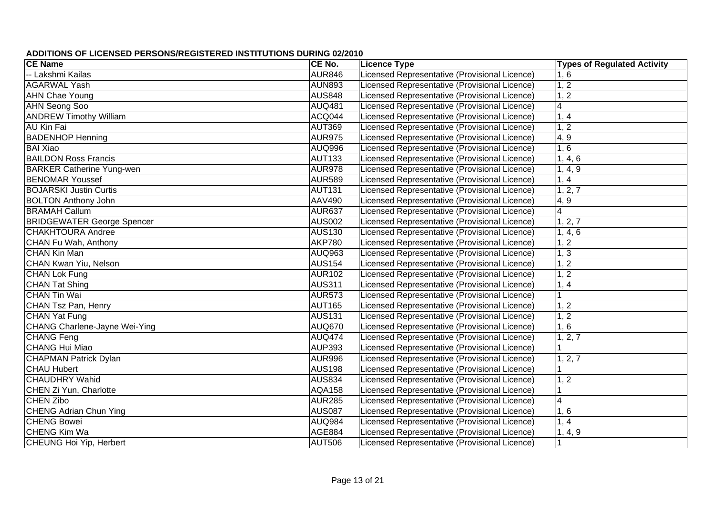| <b>CE Name</b>                    | CE No.        | <b>Licence Type</b>                           | <b>Types of Regulated Activity</b> |
|-----------------------------------|---------------|-----------------------------------------------|------------------------------------|
| -- Lakshmi Kailas                 | <b>AUR846</b> | Licensed Representative (Provisional Licence) | 1, 6                               |
| <b>AGARWAL Yash</b>               | <b>AUN893</b> | Licensed Representative (Provisional Licence) | 1, 2                               |
| <b>AHN Chae Young</b>             | <b>AUS848</b> | Licensed Representative (Provisional Licence) | 1, 2                               |
| AHN Seong Soo                     | <b>AUQ481</b> | Licensed Representative (Provisional Licence) | $\overline{4}$                     |
| <b>ANDREW Timothy William</b>     | ACQ044        | Licensed Representative (Provisional Licence) | 1, 4                               |
| <b>AU Kin Fai</b>                 | <b>AUT369</b> | Licensed Representative (Provisional Licence) | 1, 2                               |
| <b>BADENHOP Henning</b>           | <b>AUR975</b> | Licensed Representative (Provisional Licence) | 4, 9                               |
| <b>BAI Xiao</b>                   | AUQ996        | Licensed Representative (Provisional Licence) | 1, 6                               |
| <b>BAILDON Ross Francis</b>       | <b>AUT133</b> | Licensed Representative (Provisional Licence) | 1, 4, 6                            |
| <b>BARKER Catherine Yung-wen</b>  | <b>AUR978</b> | Licensed Representative (Provisional Licence) | 1, 4, 9                            |
| <b>BENOMAR Youssef</b>            | <b>AUR589</b> | Licensed Representative (Provisional Licence) | 1, 4                               |
| <b>BOJARSKI</b> Justin Curtis     | <b>AUT131</b> | Licensed Representative (Provisional Licence) | 1, 2, 7                            |
| <b>BOLTON Anthony John</b>        | AAV490        | Licensed Representative (Provisional Licence) | 4, 9                               |
| <b>BRAMAH Callum</b>              | <b>AUR637</b> | Licensed Representative (Provisional Licence) | $\overline{4}$                     |
| <b>BRIDGEWATER George Spencer</b> | <b>AUS002</b> | Licensed Representative (Provisional Licence) | 1, 2, 7                            |
| <b>CHAKHTOURA Andree</b>          | <b>AUS130</b> | Licensed Representative (Provisional Licence) | 1, 4, 6                            |
| CHAN Fu Wah, Anthony              | <b>AKP780</b> | Licensed Representative (Provisional Licence) | 1, 2                               |
| <b>CHAN Kin Man</b>               | AUQ963        | Licensed Representative (Provisional Licence) | 1, 3                               |
| CHAN Kwan Yiu, Nelson             | <b>AUS154</b> | Licensed Representative (Provisional Licence) | 1, 2                               |
| <b>CHAN Lok Fung</b>              | <b>AUR102</b> | Licensed Representative (Provisional Licence) | 1, 2                               |
| <b>CHAN Tat Shing</b>             | <b>AUS311</b> | Licensed Representative (Provisional Licence) | 1, 4                               |
| <b>CHAN Tin Wai</b>               | <b>AUR573</b> | Licensed Representative (Provisional Licence) | 1                                  |
| CHAN Tsz Pan, Henry               | <b>AUT165</b> | Licensed Representative (Provisional Licence) | 1, 2                               |
| <b>CHAN Yat Fung</b>              | <b>AUS131</b> | Licensed Representative (Provisional Licence) | 1, 2                               |
| CHANG Charlene-Jayne Wei-Ying     | <b>AUQ670</b> | Licensed Representative (Provisional Licence) | 1, 6                               |
| <b>CHANG Feng</b>                 | <b>AUQ474</b> | Licensed Representative (Provisional Licence) | 1, 2, 7                            |
| <b>CHANG Hui Miao</b>             | <b>AUP393</b> | Licensed Representative (Provisional Licence) |                                    |
| <b>CHAPMAN Patrick Dylan</b>      | AUR996        | Licensed Representative (Provisional Licence) | 1, 2, 7                            |
| <b>CHAU Hubert</b>                | AUS198        | Licensed Representative (Provisional Licence) |                                    |
| <b>CHAUDHRY Wahid</b>             | <b>AUS834</b> | Licensed Representative (Provisional Licence) | 1, 2                               |
| CHEN Zi Yun, Charlotte            | <b>AQA158</b> | Licensed Representative (Provisional Licence) |                                    |
| <b>CHEN Zibo</b>                  | <b>AUR285</b> | Licensed Representative (Provisional Licence) | $\overline{4}$                     |
| <b>CHENG Adrian Chun Ying</b>     | <b>AUS087</b> | Licensed Representative (Provisional Licence) | 1, 6                               |
| <b>CHENG Bowei</b>                | AUQ984        | Licensed Representative (Provisional Licence) | 1, 4                               |
| <b>CHENG Kim Wa</b>               | <b>AGE884</b> | Licensed Representative (Provisional Licence) | 1, 4, 9                            |
| CHEUNG Hoi Yip, Herbert           | AUT506        | Licensed Representative (Provisional Licence) |                                    |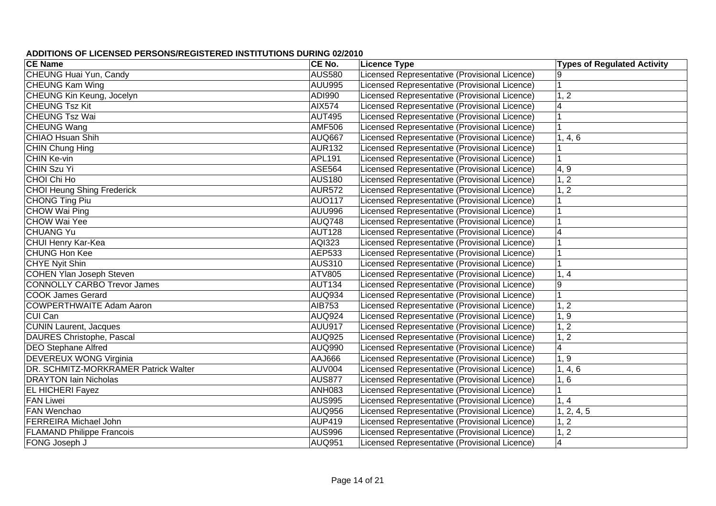| <b>CE Name</b>                       | CE No.        | <b>Licence Type</b>                           | <b>Types of Regulated Activity</b> |
|--------------------------------------|---------------|-----------------------------------------------|------------------------------------|
| <b>CHEUNG Huai Yun, Candy</b>        | <b>AUS580</b> | Licensed Representative (Provisional Licence) |                                    |
| <b>CHEUNG Kam Wing</b>               | <b>AUU995</b> | Licensed Representative (Provisional Licence) | $\mathbf{1}$                       |
| CHEUNG Kin Keung, Jocelyn            | ADI990        | Licensed Representative (Provisional Licence) | 1, 2                               |
| <b>CHEUNG Tsz Kit</b>                | <b>AIX574</b> | Licensed Representative (Provisional Licence) | $\overline{\mathbf{4}}$            |
| <b>CHEUNG Tsz Wai</b>                | <b>AUT495</b> | Licensed Representative (Provisional Licence) |                                    |
| <b>CHEUNG Wang</b>                   | <b>AMF506</b> | Licensed Representative (Provisional Licence) |                                    |
| <b>CHIAO Hsuan Shih</b>              | <b>AUQ667</b> | Licensed Representative (Provisional Licence) | 1, 4, 6                            |
| CHIN Chung Hing                      | <b>AUR132</b> | Licensed Representative (Provisional Licence) |                                    |
| CHIN Ke-vin                          | APL191        | Licensed Representative (Provisional Licence) |                                    |
| <b>CHIN Szu Yi</b>                   | <b>ASE564</b> | Licensed Representative (Provisional Licence) | 4, 9                               |
| CHOI Chi Ho                          | <b>AUS180</b> | Licensed Representative (Provisional Licence) | 1, 2                               |
| <b>CHOI Heung Shing Frederick</b>    | <b>AUR572</b> | Licensed Representative (Provisional Licence) | 1, 2                               |
| <b>CHONG Ting Piu</b>                | <b>AUO117</b> | Licensed Representative (Provisional Licence) |                                    |
| <b>CHOW Wai Ping</b>                 | <b>AUU996</b> | Licensed Representative (Provisional Licence) |                                    |
| <b>CHOW Wai Yee</b>                  | <b>AUQ748</b> | Licensed Representative (Provisional Licence) |                                    |
| <b>CHUANG Yu</b>                     | <b>AUT128</b> | Licensed Representative (Provisional Licence) | $\overline{4}$                     |
| <b>CHUI Henry Kar-Kea</b>            | AQI323        | Licensed Representative (Provisional Licence) |                                    |
| <b>CHUNG Hon Kee</b>                 | <b>AEP533</b> | Licensed Representative (Provisional Licence) |                                    |
| CHYE Nyit Shin                       | <b>AUS310</b> | Licensed Representative (Provisional Licence) |                                    |
| <b>COHEN Ylan Joseph Steven</b>      | ATV805        | Licensed Representative (Provisional Licence) | 1, 4                               |
| <b>CONNOLLY CARBO Trevor James</b>   | <b>AUT134</b> | Licensed Representative (Provisional Licence) | 9                                  |
| <b>COOK James Gerard</b>             | <b>AUQ934</b> | Licensed Representative (Provisional Licence) | $\overline{1}$                     |
| <b>COWPERTHWAITE Adam Aaron</b>      | AIB753        | Licensed Representative (Provisional Licence) | 1, 2                               |
| CUI Can                              | <b>AUQ924</b> | Licensed Representative (Provisional Licence) | 1, 9                               |
| <b>CUNIN Laurent, Jacques</b>        | <b>AUU917</b> | Licensed Representative (Provisional Licence) | 1, 2                               |
| DAURES Christophe, Pascal            | <b>AUQ925</b> | Licensed Representative (Provisional Licence) | 1, 2                               |
| <b>DEO Stephane Alfred</b>           | <b>AUQ990</b> | Licensed Representative (Provisional Licence) | $\overline{4}$                     |
| <b>DEVEREUX WONG Virginia</b>        | AAJ666        | Licensed Representative (Provisional Licence) | 1, 9                               |
| DR. SCHMITZ-MORKRAMER Patrick Walter | <b>AUV004</b> | Licensed Representative (Provisional Licence) | 1, 4, 6                            |
| <b>DRAYTON lain Nicholas</b>         | <b>AUS877</b> | Licensed Representative (Provisional Licence) | 1, 6                               |
| <b>EL HICHERI Fayez</b>              | <b>ANH083</b> | Licensed Representative (Provisional Licence) |                                    |
| <b>FAN Liwei</b>                     | <b>AUS995</b> | Licensed Representative (Provisional Licence) | 1, 4                               |
| <b>FAN Wenchao</b>                   | <b>AUQ956</b> | Licensed Representative (Provisional Licence) | 1, 2, 4, 5                         |
| <b>FERREIRA Michael John</b>         | <b>AUP419</b> | Licensed Representative (Provisional Licence) | 1, 2                               |
| <b>FLAMAND Philippe Francois</b>     | <b>AUS996</b> | Licensed Representative (Provisional Licence) | 1, 2                               |
| FONG Joseph J                        | AUQ951        | Licensed Representative (Provisional Licence) | $\overline{\mathbf{4}}$            |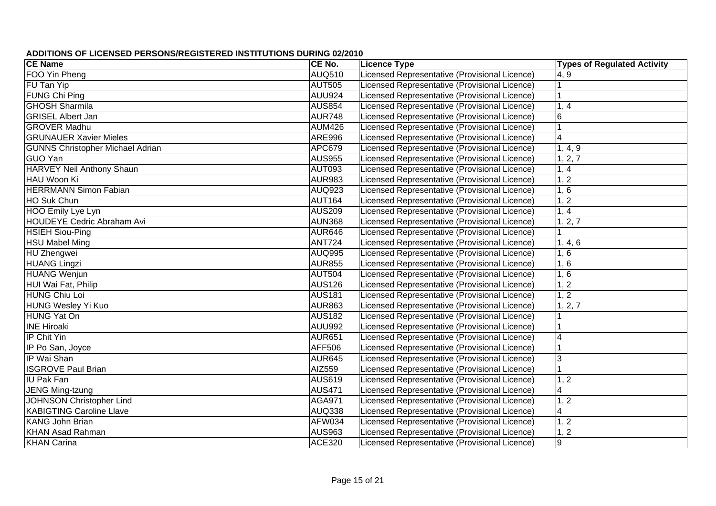| <b>CE Name</b>                          | CE No.        | <b>Licence Type</b>                           | <b>Types of Regulated Activity</b> |
|-----------------------------------------|---------------|-----------------------------------------------|------------------------------------|
| FOO Yin Pheng                           | <b>AUQ510</b> | Licensed Representative (Provisional Licence) | 4, 9                               |
| FU Tan Yip                              | <b>AUT505</b> | Licensed Representative (Provisional Licence) |                                    |
| FUNG Chi Ping                           | <b>AUU924</b> | Licensed Representative (Provisional Licence) | ∣1                                 |
| <b>GHOSH Sharmila</b>                   | <b>AUS854</b> | Licensed Representative (Provisional Licence) | 1, 4                               |
| <b>GRISEL Albert Jan</b>                | <b>AUR748</b> | Licensed Representative (Provisional Licence) | $\overline{6}$                     |
| <b>GROVER Madhu</b>                     | <b>AUM426</b> | Licensed Representative (Provisional Licence) | ∣1                                 |
| <b>GRUNAUER Xavier Mieles</b>           | <b>ARE996</b> | Licensed Representative (Provisional Licence) | $\overline{4}$                     |
| <b>GUNNS Christopher Michael Adrian</b> | <b>APC679</b> | Licensed Representative (Provisional Licence) | 1, 4, 9                            |
| <b>GUO Yan</b>                          | <b>AUS955</b> | Licensed Representative (Provisional Licence) | 1, 2, 7                            |
| <b>HARVEY Neil Anthony Shaun</b>        | <b>AUT093</b> | Licensed Representative (Provisional Licence) | 1, 4                               |
| HAU Woon Ki                             | <b>AUR983</b> | Licensed Representative (Provisional Licence) | 1, 2                               |
| <b>HERRMANN Simon Fabian</b>            | <b>AUQ923</b> | Licensed Representative (Provisional Licence) | 1, 6                               |
| HO Suk Chun                             | <b>AUT164</b> | Licensed Representative (Provisional Licence) | 1, 2                               |
| HOO Emily Lye Lyn                       | <b>AUS209</b> | Licensed Representative (Provisional Licence) | 1, 4                               |
| HOUDEYE Cedric Abraham Avi              | <b>AUN368</b> | Licensed Representative (Provisional Licence) | 1, 2, 7                            |
| <b>HSIEH Siou-Ping</b>                  | <b>AUR646</b> | Licensed Representative (Provisional Licence) |                                    |
| <b>HSU Mabel Ming</b>                   | <b>ANT724</b> | Licensed Representative (Provisional Licence) | 1, 4, 6                            |
| HU Zhengwei                             | <b>AUQ995</b> | Licensed Representative (Provisional Licence) | 1, 6                               |
| <b>HUANG Lingzi</b>                     | <b>AUR855</b> | Licensed Representative (Provisional Licence) | 1, 6                               |
| <b>HUANG Wenjun</b>                     | <b>AUT504</b> | Licensed Representative (Provisional Licence) | 1, 6                               |
| HUI Wai Fat, Philip                     | AUS126        | Licensed Representative (Provisional Licence) | 1, 2                               |
| <b>HUNG Chiu Loi</b>                    | <b>AUS181</b> | Licensed Representative (Provisional Licence) | 1, 2                               |
| HUNG Wesley Yi Kuo                      | <b>AUR863</b> | Licensed Representative (Provisional Licence) | 1, 2, 7                            |
| <b>HUNG Yat On</b>                      | <b>AUS182</b> | Licensed Representative (Provisional Licence) |                                    |
| <b>INE Hiroaki</b>                      | <b>AUU992</b> | Licensed Representative (Provisional Licence) |                                    |
| IP Chit Yin                             | <b>AUR651</b> | Licensed Representative (Provisional Licence) | $\overline{4}$                     |
| IP Po San, Joyce                        | AFF506        | Licensed Representative (Provisional Licence) |                                    |
| IP Wai Shan                             | <b>AUR645</b> | Licensed Representative (Provisional Licence) | 3                                  |
| <b>ISGROVE Paul Brian</b>               | AIZ559        | Licensed Representative (Provisional Licence) |                                    |
| <b>IU Pak Fan</b>                       | <b>AUS619</b> | Licensed Representative (Provisional Licence) | 1, 2                               |
| <b>JENG Ming-tzung</b>                  | <b>AUS471</b> | Licensed Representative (Provisional Licence) | $\overline{4}$                     |
| <b>JOHNSON Christopher Lind</b>         | <b>AGA971</b> | Licensed Representative (Provisional Licence) | 1, 2                               |
| <b>KABIGTING Caroline Llave</b>         | <b>AUQ338</b> | Licensed Representative (Provisional Licence) | $\overline{4}$                     |
| <b>KANG John Brian</b>                  | AFW034        | Licensed Representative (Provisional Licence) | 1, 2                               |
| <b>KHAN Asad Rahman</b>                 | <b>AUS963</b> | Licensed Representative (Provisional Licence) | 1, 2                               |
| <b>KHAN Carina</b>                      | <b>ACE320</b> | Licensed Representative (Provisional Licence) | 9                                  |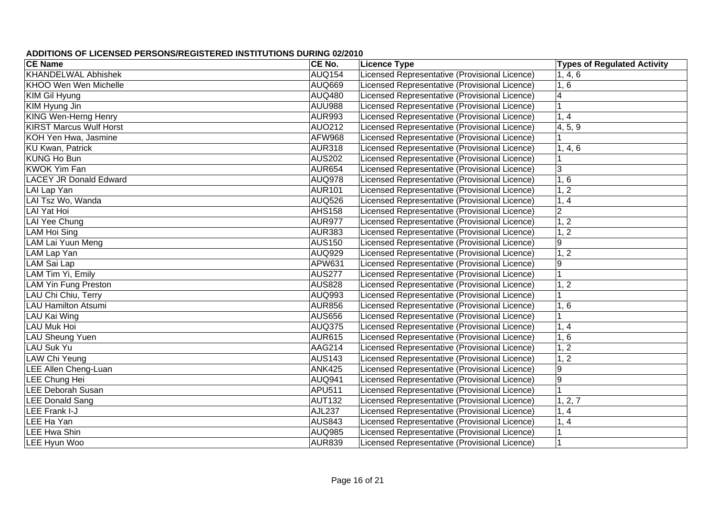| <b>CE Name</b>                 | CE No.        | <b>Licence Type</b>                           | <b>Types of Regulated Activity</b> |
|--------------------------------|---------------|-----------------------------------------------|------------------------------------|
| <b>KHANDELWAL Abhishek</b>     | <b>AUQ154</b> | Licensed Representative (Provisional Licence) | 1, 4, 6                            |
| <b>KHOO Wen Wen Michelle</b>   | <b>AUQ669</b> | Licensed Representative (Provisional Licence) | 1, 6                               |
| KIM Gil Hyung                  | <b>AUQ480</b> | Licensed Representative (Provisional Licence) | $\overline{4}$                     |
| KIM Hyung Jin                  | <b>AUU988</b> | Licensed Representative (Provisional Licence) |                                    |
| <b>KING Wen-Herng Henry</b>    | <b>AUR993</b> | Licensed Representative (Provisional Licence) | 1, 4                               |
| <b>KIRST Marcus Wulf Horst</b> | <b>AUO212</b> | Licensed Representative (Provisional Licence) | 4, 5, 9                            |
| KOH Yen Hwa, Jasmine           | <b>AFW968</b> | Licensed Representative (Provisional Licence) |                                    |
| <b>KU</b> Kwan, Patrick        | <b>AUR318</b> | Licensed Representative (Provisional Licence) | 1, 4, 6                            |
| <b>KUNG Ho Bun</b>             | <b>AUS202</b> | Licensed Representative (Provisional Licence) |                                    |
| <b>KWOK Yim Fan</b>            | <b>AUR654</b> | Licensed Representative (Provisional Licence) | 3                                  |
| <b>LACEY JR Donald Edward</b>  | <b>AUQ978</b> | Licensed Representative (Provisional Licence) | 1, 6                               |
| LAI Lap Yan                    | <b>AUR101</b> | Licensed Representative (Provisional Licence) | 1, 2                               |
| LAI Tsz Wo, Wanda              | <b>AUQ526</b> | Licensed Representative (Provisional Licence) | 1, 4                               |
| LAI Yat Hoi                    | <b>AHS158</b> | Licensed Representative (Provisional Licence) | $\overline{2}$                     |
| LAI Yee Chung                  | <b>AUR977</b> | Licensed Representative (Provisional Licence) | 1, 2                               |
| LAM Hoi Sing                   | <b>AUR383</b> | Licensed Representative (Provisional Licence) | 1, 2                               |
| LAM Lai Yuun Meng              | <b>AUS150</b> | Licensed Representative (Provisional Licence) | 9                                  |
| LAM Lap Yan                    | <b>AUQ929</b> | Licensed Representative (Provisional Licence) | 1, 2                               |
| LAM Sai Lap                    | APW631        | Licensed Representative (Provisional Licence) | 9                                  |
| LAM Tim Yi, Emily              | <b>AUS277</b> | Licensed Representative (Provisional Licence) |                                    |
| <b>LAM Yin Fung Preston</b>    | <b>AUS828</b> | Licensed Representative (Provisional Licence) | 1, 2                               |
| LAU Chi Chiu, Terry            | <b>AUQ993</b> | Licensed Representative (Provisional Licence) |                                    |
| <b>LAU Hamilton Atsumi</b>     | <b>AUR856</b> | Licensed Representative (Provisional Licence) | 1, 6                               |
| LAU Kai Wing                   | <b>AUS656</b> | Licensed Representative (Provisional Licence) |                                    |
| LAU Muk Hoi                    | <b>AUQ375</b> | Licensed Representative (Provisional Licence) | 1, 4                               |
| LAU Sheung Yuen                | <b>AUR615</b> | Licensed Representative (Provisional Licence) | 1, 6                               |
| LAU Suk Yu                     | AAG214        | Licensed Representative (Provisional Licence) | 1, 2                               |
| LAW Chi Yeung                  | <b>AUS143</b> | Licensed Representative (Provisional Licence) | 1, 2                               |
| <b>LEE Allen Cheng-Luan</b>    | <b>ANK425</b> | Licensed Representative (Provisional Licence) | $\boldsymbol{9}$                   |
| LEE Chung Hei                  | <b>AUQ941</b> | Licensed Representative (Provisional Licence) | 9                                  |
| <b>LEE Deborah Susan</b>       | APU511        | Licensed Representative (Provisional Licence) |                                    |
| <b>LEE Donald Sang</b>         | <b>AUT132</b> | Licensed Representative (Provisional Licence) | 1, 2, 7                            |
| <b>LEE Frank I-J</b>           | <b>AJL237</b> | Licensed Representative (Provisional Licence) | $1, \overline{4}$                  |
| LEE Ha Yan                     | <b>AUS843</b> | Licensed Representative (Provisional Licence) | 1, 4                               |
| <b>LEE Hwa Shin</b>            | <b>AUQ985</b> | Licensed Representative (Provisional Licence) |                                    |
| <b>LEE Hyun Woo</b>            | AUR839        | Licensed Representative (Provisional Licence) |                                    |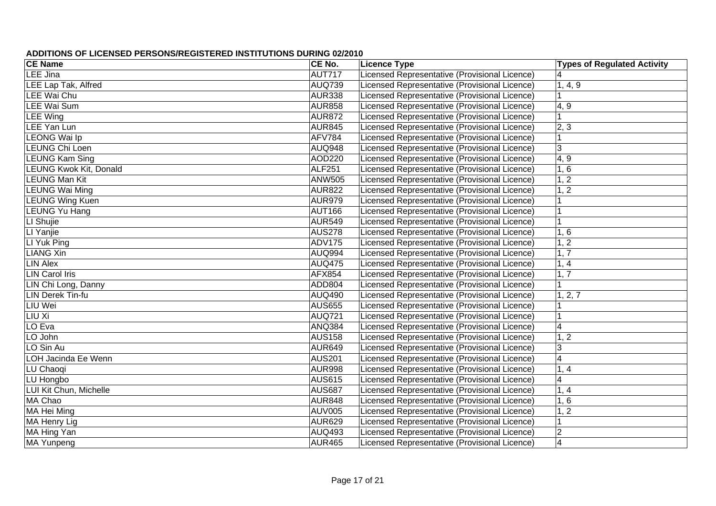| <b>CE Name</b>                | CE No.        | <b>Licence Type</b>                           | <b>Types of Regulated Activity</b> |
|-------------------------------|---------------|-----------------------------------------------|------------------------------------|
| LEE Jina                      | <b>AUT717</b> | Licensed Representative (Provisional Licence) | $\overline{\mathbf{4}}$            |
| <b>LEE</b> Lap Tak, Alfred    | <b>AUQ739</b> | Licensed Representative (Provisional Licence) | 1, 4, 9                            |
| LEE Wai Chu                   | <b>AUR338</b> | Licensed Representative (Provisional Licence) |                                    |
| <b>LEE Wai Sum</b>            | <b>AUR858</b> | Licensed Representative (Provisional Licence) | 4, 9                               |
| <b>LEE Wing</b>               | <b>AUR872</b> | Licensed Representative (Provisional Licence) |                                    |
| <b>LEE Yan Lun</b>            | <b>AUR845</b> | Licensed Representative (Provisional Licence) | 2, 3                               |
| <b>LEONG Wai Ip</b>           | <b>AFV784</b> | Licensed Representative (Provisional Licence) |                                    |
| LEUNG Chi Loen                | <b>AUQ948</b> | Licensed Representative (Provisional Licence) | 3                                  |
| <b>LEUNG Kam Sing</b>         | AOD220        | Licensed Representative (Provisional Licence) | 4, 9                               |
| <b>LEUNG Kwok Kit, Donald</b> | <b>ALF251</b> | Licensed Representative (Provisional Licence) | 1, 6                               |
| <b>LEUNG Man Kit</b>          | <b>ANW505</b> | Licensed Representative (Provisional Licence) | 1, 2                               |
| <b>LEUNG Wai Ming</b>         | <b>AUR822</b> | Licensed Representative (Provisional Licence) | 1, 2                               |
| <b>LEUNG Wing Kuen</b>        | <b>AUR979</b> | Licensed Representative (Provisional Licence) |                                    |
| LEUNG Yu Hang                 | <b>AUT166</b> | Licensed Representative (Provisional Licence) |                                    |
| LI Shujie                     | <b>AUR549</b> | Licensed Representative (Provisional Licence) |                                    |
| LI Yanjie                     | <b>AUS278</b> | Licensed Representative (Provisional Licence) | 1, 6                               |
| LI Yuk Ping                   | <b>ADV175</b> | Licensed Representative (Provisional Licence) | 1, 2                               |
| <b>LIANG Xin</b>              | <b>AUQ994</b> | Licensed Representative (Provisional Licence) | 1, 7                               |
| <b>LIN Alex</b>               | <b>AUQ475</b> | Licensed Representative (Provisional Licence) | 1, 4                               |
| <b>LIN Carol Iris</b>         | <b>AFX854</b> | Licensed Representative (Provisional Licence) | 1, 7                               |
| LIN Chi Long, Danny           | ADD804        | Licensed Representative (Provisional Licence) |                                    |
| <b>LIN Derek Tin-fu</b>       | <b>AUQ490</b> | Licensed Representative (Provisional Licence) | 1, 2, 7                            |
| <b>LIU Wei</b>                | <b>AUS655</b> | Licensed Representative (Provisional Licence) |                                    |
| LIU Xi                        | <b>AUQ721</b> | Licensed Representative (Provisional Licence) | $\overline{1}$                     |
| LO Eva                        | <b>ANQ384</b> | Licensed Representative (Provisional Licence) | $\overline{4}$                     |
| LO John                       | <b>AUS158</b> | Licensed Representative (Provisional Licence) | 1, 2                               |
| LO Sin Au                     | <b>AUR649</b> | Licensed Representative (Provisional Licence) | 3                                  |
| LOH Jacinda Ee Wenn           | <b>AUS201</b> | Licensed Representative (Provisional Licence) | $\overline{4}$                     |
| LU Chaoqi                     | <b>AUR998</b> | Licensed Representative (Provisional Licence) | 1, 4                               |
| LU Hongbo                     | <b>AUS615</b> | Licensed Representative (Provisional Licence) | $\overline{\mathbf{4}}$            |
| LUI Kit Chun, Michelle        | <b>AUS687</b> | Licensed Representative (Provisional Licence) | 1, 4                               |
| MA Chao                       | <b>AUR848</b> | Licensed Representative (Provisional Licence) | 1, 6                               |
| MA Hei Ming                   | <b>AUV005</b> | Licensed Representative (Provisional Licence) | 1, 2                               |
| MA Henry Lig                  | AUR629        | Licensed Representative (Provisional Licence) |                                    |
| MA Hing Yan                   | <b>AUQ493</b> | Licensed Representative (Provisional Licence) | $\mathbf 2$                        |
| MA Yunpeng                    | AUR465        | Licensed Representative (Provisional Licence) | $\overline{4}$                     |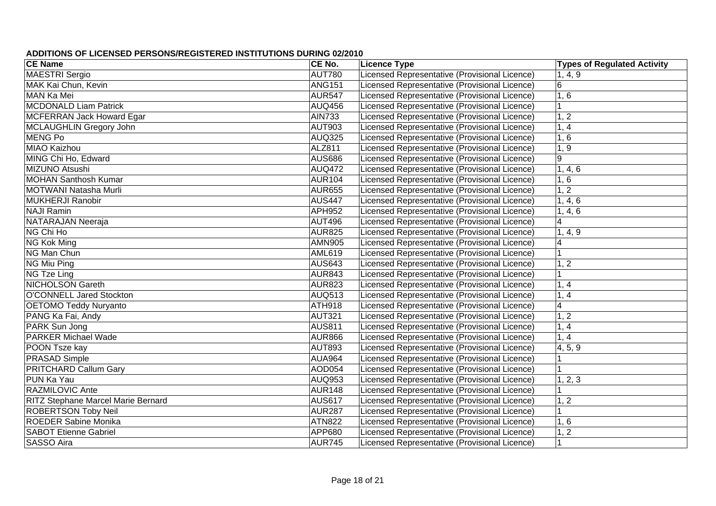| <b>CE Name</b>                            | CE No.        | <b>Licence Type</b>                           | <b>Types of Regulated Activity</b> |
|-------------------------------------------|---------------|-----------------------------------------------|------------------------------------|
| <b>MAESTRI</b> Sergio                     | <b>AUT780</b> | Licensed Representative (Provisional Licence) | 1, 4, 9                            |
| MAK Kai Chun, Kevin                       | <b>ANG151</b> | Licensed Representative (Provisional Licence) | $6\phantom{1}6$                    |
| MAN Ka Mei                                | <b>AUR547</b> | Licensed Representative (Provisional Licence) | 1, 6                               |
| <b>MCDONALD Liam Patrick</b>              | <b>AUQ456</b> | Licensed Representative (Provisional Licence) |                                    |
| <b>MCFERRAN Jack Howard Egar</b>          | <b>AIN733</b> | Licensed Representative (Provisional Licence) | 1, 2                               |
| MCLAUGHLIN Gregory John                   | <b>AUT903</b> | Licensed Representative (Provisional Licence) | 1, 4                               |
| <b>MENG Po</b>                            | <b>AUQ325</b> | Licensed Representative (Provisional Licence) | 1, 6                               |
| <b>MIAO Kaizhou</b>                       | <b>ALZ811</b> | Licensed Representative (Provisional Licence) | 1, 9                               |
| MING Chi Ho, Edward                       | <b>AUS686</b> | Licensed Representative (Provisional Licence) | $\overline{9}$                     |
| MIZUNO Atsushi                            | <b>AUQ472</b> | Licensed Representative (Provisional Licence) | 1, 4, 6                            |
| <b>MOHAN Santhosh Kumar</b>               | <b>AUR104</b> | Licensed Representative (Provisional Licence) | 1, 6                               |
| MOTWANI Natasha Murli                     | <b>AUR655</b> | Licensed Representative (Provisional Licence) | 1, 2                               |
| <b>MUKHERJI Ranobir</b>                   | <b>AUS447</b> | Licensed Representative (Provisional Licence) | 1, 4, 6                            |
| <b>NAJI Ramin</b>                         | <b>APH952</b> | Licensed Representative (Provisional Licence) | 1, 4, 6                            |
| NATARAJAN Neeraja                         | <b>AUT496</b> | Licensed Representative (Provisional Licence) | $\overline{\mathbf{4}}$            |
| NG Chi Ho                                 | <b>AUR825</b> | Licensed Representative (Provisional Licence) | 1, 4, 9                            |
| NG Kok Ming                               | <b>AMN905</b> | Licensed Representative (Provisional Licence) | $\overline{4}$                     |
| NG Man Chun                               | <b>AML619</b> | Licensed Representative (Provisional Licence) | $\overline{1}$                     |
| NG Miu Ping                               | <b>AUS643</b> | Licensed Representative (Provisional Licence) | 1, 2                               |
| NG Tze Ling                               | <b>AUR843</b> | Licensed Representative (Provisional Licence) | 1                                  |
| <b>NICHOLSON Gareth</b>                   | <b>AUR823</b> | Licensed Representative (Provisional Licence) | 1, 4                               |
| O'CONNELL Jared Stockton                  | <b>AUQ513</b> | Licensed Representative (Provisional Licence) | 1, 4                               |
| <b>OETOMO Teddy Nuryanto</b>              | <b>ATH918</b> | Licensed Representative (Provisional Licence) | $\overline{4}$                     |
| PANG Ka Fai, Andy                         | <b>AUT321</b> | Licensed Representative (Provisional Licence) | 1, 2                               |
| PARK Sun Jong                             | <b>AUS811</b> | Licensed Representative (Provisional Licence) | 1, 4                               |
| <b>PARKER Michael Wade</b>                | <b>AUR866</b> | Licensed Representative (Provisional Licence) | 1, 4                               |
| POON Tsze kay                             | <b>AUT893</b> | Licensed Representative (Provisional Licence) | 4, 5, 9                            |
| <b>PRASAD Simple</b>                      | <b>AUA964</b> | Licensed Representative (Provisional Licence) |                                    |
| <b>PRITCHARD Callum Gary</b>              | <b>AOD054</b> | Licensed Representative (Provisional Licence) |                                    |
| PUN Ka Yau                                | <b>AUQ953</b> | Licensed Representative (Provisional Licence) | 1, 2, 3                            |
| <b>RAZMILOVIC Ante</b>                    | <b>AUR148</b> | Licensed Representative (Provisional Licence) |                                    |
| <b>RITZ Stephane Marcel Marie Bernard</b> | <b>AUS617</b> | Licensed Representative (Provisional Licence) | 1, 2                               |
| <b>ROBERTSON Toby Neil</b>                | <b>AUR287</b> | Licensed Representative (Provisional Licence) |                                    |
| <b>ROEDER Sabine Monika</b>               | <b>ATN822</b> | Licensed Representative (Provisional Licence) | 1, 6                               |
| <b>SABOT Etienne Gabriel</b>              | APP680        | Licensed Representative (Provisional Licence) | 1, 2                               |
| <b>SASSO Aira</b>                         | <b>AUR745</b> | Licensed Representative (Provisional Licence) | 1                                  |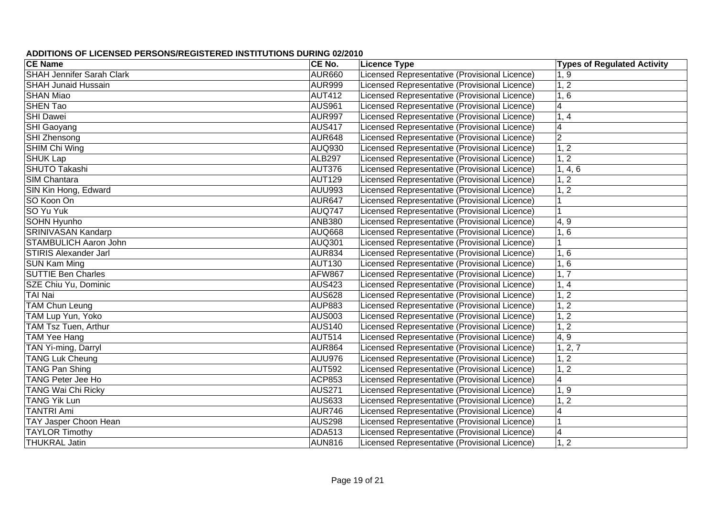| <b>CE Name</b>                   | CE No.        | <b>Licence Type</b>                           | <b>Types of Regulated Activity</b> |
|----------------------------------|---------------|-----------------------------------------------|------------------------------------|
| <b>SHAH Jennifer Sarah Clark</b> | <b>AUR660</b> | Licensed Representative (Provisional Licence) | 1, 9                               |
| <b>SHAH Junaid Hussain</b>       | <b>AUR999</b> | Licensed Representative (Provisional Licence) | 1, 2                               |
| <b>SHAN Miao</b>                 | <b>AUT412</b> | Licensed Representative (Provisional Licence) | 1, 6                               |
| <b>SHEN Tao</b>                  | <b>AUS961</b> | Licensed Representative (Provisional Licence) | $\overline{4}$                     |
| <b>SHI Dawei</b>                 | <b>AUR997</b> | Licensed Representative (Provisional Licence) | 1, 4                               |
| SHI Gaoyang                      | <b>AUS417</b> | Licensed Representative (Provisional Licence) | $\overline{4}$                     |
| SHI Zhensong                     | <b>AUR648</b> | Licensed Representative (Provisional Licence) | $\overline{2}$                     |
| SHIM Chi Wing                    | AUQ930        | Licensed Representative (Provisional Licence) | 1, 2                               |
| <b>SHUK Lap</b>                  | <b>ALB297</b> | Licensed Representative (Provisional Licence) | $\overline{1,2}$                   |
| <b>SHUTO Takashi</b>             | <b>AUT376</b> | Licensed Representative (Provisional Licence) | 1, 4, 6                            |
| <b>SIM Chantara</b>              | <b>AUT129</b> | Licensed Representative (Provisional Licence) | 1, 2                               |
| SIN Kin Hong, Edward             | <b>AUU993</b> | Licensed Representative (Provisional Licence) | 1, 2                               |
| SO Koon On                       | <b>AUR647</b> | Licensed Representative (Provisional Licence) |                                    |
| SO Yu Yuk                        | <b>AUQ747</b> | Licensed Representative (Provisional Licence) |                                    |
| <b>SOHN Hyunho</b>               | ANB380        | Licensed Representative (Provisional Licence) | 4, 9                               |
| <b>SRINIVASAN Kandarp</b>        | <b>AUQ668</b> | Licensed Representative (Provisional Licence) | 1, 6                               |
| <b>STAMBULICH Aaron John</b>     | <b>AUQ301</b> | Licensed Representative (Provisional Licence) |                                    |
| <b>STIRIS Alexander Jarl</b>     | <b>AUR834</b> | Licensed Representative (Provisional Licence) | 1, 6                               |
| <b>SUN Kam Ming</b>              | <b>AUT130</b> | Licensed Representative (Provisional Licence) | 1, 6                               |
| <b>SUTTIE Ben Charles</b>        | <b>AFW867</b> | Licensed Representative (Provisional Licence) | 1, 7                               |
| SZE Chiu Yu, Dominic             | <b>AUS423</b> | Licensed Representative (Provisional Licence) | 1, 4                               |
| <b>TAI Nai</b>                   | <b>AUS628</b> | Licensed Representative (Provisional Licence) | 1, 2                               |
| <b>TAM Chun Leung</b>            | <b>AUP883</b> | Licensed Representative (Provisional Licence) | 1, 2                               |
| TAM Lup Yun, Yoko                | <b>AUS003</b> | Licensed Representative (Provisional Licence) | 1, 2                               |
| TAM Tsz Tuen, Arthur             | <b>AUS140</b> | Licensed Representative (Provisional Licence) | 1, 2                               |
| <b>TAM Yee Hang</b>              | <b>AUT514</b> | Licensed Representative (Provisional Licence) | 4, 9                               |
| TAN Yi-ming, Darryl              | <b>AUR864</b> | Licensed Representative (Provisional Licence) | 1, 2, 7                            |
| <b>TANG Luk Cheung</b>           | <b>AUU976</b> | Licensed Representative (Provisional Licence) | 1, 2                               |
| <b>TANG Pan Shing</b>            | <b>AUT592</b> | Licensed Representative (Provisional Licence) | 1, 2                               |
| <b>TANG Peter Jee Ho</b>         | <b>ACP853</b> | Licensed Representative (Provisional Licence) | $\overline{\mathbf{4}}$            |
| <b>TANG Wai Chi Ricky</b>        | <b>AUS271</b> | Licensed Representative (Provisional Licence) | 1, 9                               |
| <b>TANG Yik Lun</b>              | <b>AUS633</b> | Licensed Representative (Provisional Licence) | 1, 2                               |
| <b>TANTRI Ami</b>                | <b>AUR746</b> | Licensed Representative (Provisional Licence) | $\overline{4}$                     |
| <b>TAY Jasper Choon Hean</b>     | AUS298        | Licensed Representative (Provisional Licence) |                                    |
| <b>TAYLOR Timothy</b>            | <b>ADA513</b> | Licensed Representative (Provisional Licence) | $\overline{4}$                     |
| <b>THUKRAL Jatin</b>             | AUN816        | Licensed Representative (Provisional Licence) | 1, 2                               |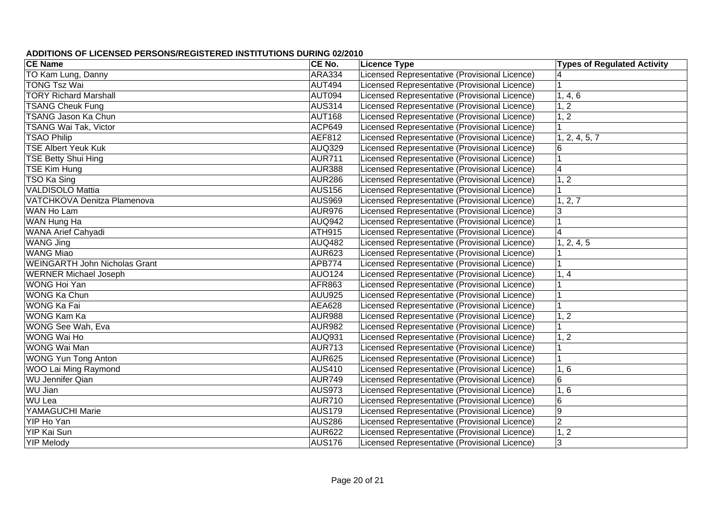| <b>CE Name</b>                       | CE No.        | <b>Licence Type</b>                           | <b>Types of Regulated Activity</b> |
|--------------------------------------|---------------|-----------------------------------------------|------------------------------------|
| TO Kam Lung, Danny                   | <b>ARA334</b> | Licensed Representative (Provisional Licence) |                                    |
| <b>TONG Tsz Wai</b>                  | <b>AUT494</b> | Licensed Representative (Provisional Licence) | $\overline{1}$                     |
| <b>TORY Richard Marshall</b>         | AUT094        | Licensed Representative (Provisional Licence) | 1, 4, 6                            |
| <b>TSANG Cheuk Fung</b>              | <b>AUS314</b> | Licensed Representative (Provisional Licence) | 1, 2                               |
| <b>TSANG Jason Ka Chun</b>           | <b>AUT168</b> | Licensed Representative (Provisional Licence) | $\overline{1,2}$                   |
| <b>TSANG Wai Tak, Victor</b>         | <b>ACP649</b> | Licensed Representative (Provisional Licence) |                                    |
| <b>TSAO Philip</b>                   | <b>AEF812</b> | Licensed Representative (Provisional Licence) | 1, 2, 4, 5, 7                      |
| <b>TSE Albert Yeuk Kuk</b>           | <b>AUQ329</b> | Licensed Representative (Provisional Licence) | $6\phantom{1}6$                    |
| <b>TSE Betty Shui Hing</b>           | <b>AUR711</b> | Licensed Representative (Provisional Licence) |                                    |
| <b>TSE Kim Hung</b>                  | <b>AUR388</b> | Licensed Representative (Provisional Licence) | $\overline{4}$                     |
| TSO Ka Sing                          | <b>AUR286</b> | Licensed Representative (Provisional Licence) | 1, 2                               |
| <b>VALDISOLO Mattia</b>              | <b>AUS156</b> | Licensed Representative (Provisional Licence) |                                    |
| VATCHKOVA Denitza Plamenova          | <b>AUS969</b> | Licensed Representative (Provisional Licence) | 1, 2, 7                            |
| <b>WAN Ho Lam</b>                    | <b>AUR976</b> | Licensed Representative (Provisional Licence) | 3                                  |
| WAN Hung Ha                          | AUQ942        | Licensed Representative (Provisional Licence) |                                    |
| WANA Arief Cahyadi                   | ATH915        | Licensed Representative (Provisional Licence) | $\overline{4}$                     |
| <b>WANG Jing</b>                     | <b>AUQ482</b> | Licensed Representative (Provisional Licence) | 1, 2, 4, 5                         |
| <b>WANG Miao</b>                     | <b>AUR623</b> | Licensed Representative (Provisional Licence) |                                    |
| <b>WEINGARTH John Nicholas Grant</b> | <b>APB774</b> | Licensed Representative (Provisional Licence) |                                    |
| <b>WERNER Michael Joseph</b>         | <b>AUO124</b> | Licensed Representative (Provisional Licence) | 1, 4                               |
| <b>WONG Hoi Yan</b>                  | AFR863        | Licensed Representative (Provisional Licence) |                                    |
| <b>WONG Ka Chun</b>                  | <b>AUU925</b> | Licensed Representative (Provisional Licence) |                                    |
| <b>WONG Ka Fai</b>                   | <b>AEA628</b> | Licensed Representative (Provisional Licence) |                                    |
| <b>WONG Kam Ka</b>                   | <b>AUR988</b> | Licensed Representative (Provisional Licence) | 1, 2                               |
| WONG See Wah, Eva                    | <b>AUR982</b> | Licensed Representative (Provisional Licence) |                                    |
| <b>WONG Wai Ho</b>                   | <b>AUQ931</b> | Licensed Representative (Provisional Licence) | 1, 2                               |
| <b>WONG Wai Man</b>                  | <b>AUR713</b> | Licensed Representative (Provisional Licence) |                                    |
| <b>WONG Yun Tong Anton</b>           | <b>AUR625</b> | Licensed Representative (Provisional Licence) |                                    |
| WOO Lai Ming Raymond                 | <b>AUS410</b> | Licensed Representative (Provisional Licence) | 1, 6                               |
| <b>WU Jennifer Qian</b>              | AUR749        | Licensed Representative (Provisional Licence) | $6\phantom{1}$                     |
| <b>WU Jian</b>                       | AUS973        | Licensed Representative (Provisional Licence) | 1, 6                               |
| <b>WU Lea</b>                        | AUR710        | Licensed Representative (Provisional Licence) | $\,6$                              |
| <b>YAMAGUCHI Marie</b>               | <b>AUS179</b> | Licensed Representative (Provisional Licence) | $9\,$                              |
| YIP Ho Yan                           | <b>AUS286</b> | Licensed Representative (Provisional Licence) | $\overline{2}$                     |
| <b>YIP Kai Sun</b>                   | <b>AUR622</b> | Licensed Representative (Provisional Licence) | 1, 2                               |
| <b>YIP Melody</b>                    | <b>AUS176</b> | Licensed Representative (Provisional Licence) | 3                                  |